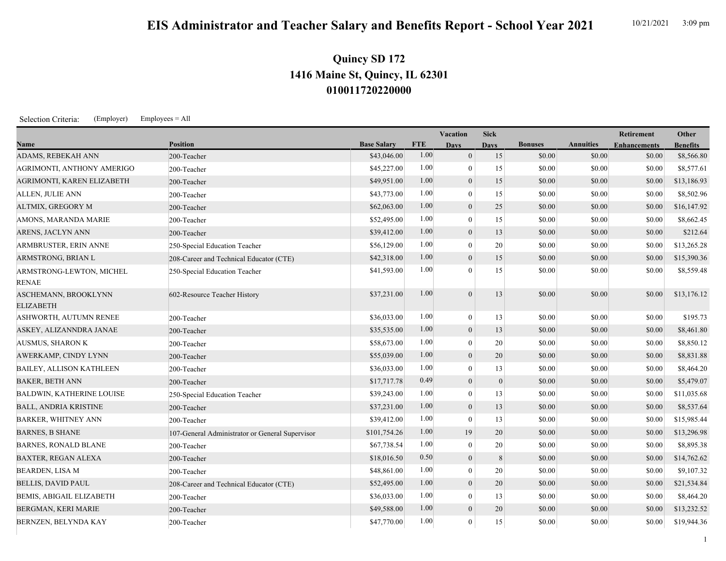## **010011720220000 1416 Maine St, Quincy, IL 62301 Quincy SD 172**

Selection Criteria: (Employer) Employees = All

|                                          |                                                 |                    |            | Vacation       | <b>Sick</b>  |                |                  | <b>Retirement</b>   | Other           |
|------------------------------------------|-------------------------------------------------|--------------------|------------|----------------|--------------|----------------|------------------|---------------------|-----------------|
| Name                                     | <b>Position</b>                                 | <b>Base Salary</b> | <b>FTE</b> | <b>Days</b>    | <b>Days</b>  | <b>Bonuses</b> | <b>Annuities</b> | <b>Enhancements</b> | <b>Benefits</b> |
| <b>ADAMS, REBEKAH ANN</b>                | 200-Teacher                                     | \$43,046.00        | 1.00       | $\overline{0}$ | 15           | \$0.00         | \$0.00           | \$0.00              | \$8,566.80      |
| AGRIMONTI, ANTHONY AMERIGO               | 200-Teacher                                     | \$45,227.00        | 1.00       | $\theta$       | 15           | \$0.00         | \$0.00           | \$0.00              | \$8,577.61      |
| AGRIMONTI, KAREN ELIZABETH               | 200-Teacher                                     | \$49,951.00        | 1.00       | $\mathbf{0}$   | 15           | \$0.00         | \$0.00           | \$0.00              | \$13,186.93     |
| ALLEN, JULIE ANN                         | 200-Teacher                                     | \$43,773.00        | 1.00       | $\overline{0}$ | 15           | \$0.00         | \$0.00           | \$0.00              | \$8,502.96      |
| ALTMIX, GREGORY M                        | 200-Teacher                                     | \$62,063.00        | 1.00       | $\mathbf{0}$   | 25           | \$0.00         | \$0.00           | \$0.00              | \$16,147.92     |
| AMONS, MARANDA MARIE                     | 200-Teacher                                     | \$52,495.00        | 1.00       | $\overline{0}$ | 15           | \$0.00         | \$0.00           | \$0.00              | \$8,662.45      |
| ARENS, JACLYN ANN                        | 200-Teacher                                     | \$39,412.00        | 1.00       | $\theta$       | 13           | \$0.00         | \$0.00           | \$0.00              | \$212.64        |
| ARMBRUSTER, ERIN ANNE                    | 250-Special Education Teacher                   | \$56,129.00        | 1.00       | $\mathbf{0}$   | $20\,$       | \$0.00         | \$0.00           | \$0.00              | \$13,265.28     |
| ARMSTRONG, BRIAN L                       | 208-Career and Technical Educator (CTE)         | \$42,318.00        | 1.00       | $\theta$       | 15           | \$0.00         | \$0.00           | \$0.00              | \$15,390.36     |
| ARMSTRONG-LEWTON, MICHEL<br><b>RENAE</b> | 250-Special Education Teacher                   | \$41,593.00        | 1.00       | $\Omega$       | 15           | \$0.00         | \$0.00           | \$0.00              | \$8,559.48      |
| ASCHEMANN, BROOKLYNN<br><b>ELIZABETH</b> | 602-Resource Teacher History                    | \$37,231.00        | 1.00       | $\theta$       | 13           | \$0.00         | \$0.00           | \$0.00              | \$13,176.12     |
| <b>ASHWORTH, AUTUMN RENEE</b>            | 200-Teacher                                     | \$36,033.00        | 1.00       | $\mathbf{0}$   | 13           | \$0.00         | \$0.00           | \$0.00              | \$195.73        |
| ASKEY, ALIZANNDRA JANAE                  | 200-Teacher                                     | \$35,535.00        | 1.00       | $\theta$       | 13           | \$0.00         | \$0.00           | \$0.00              | \$8,461.80      |
| AUSMUS, SHARON K                         | 200-Teacher                                     | \$58,673.00        | 1.00       | $\theta$       | $20\,$       | \$0.00         | \$0.00           | \$0.00              | \$8,850.12      |
| AWERKAMP, CINDY LYNN                     | 200-Teacher                                     | \$55,039.00        | 1.00       | $\theta$       | 20           | \$0.00         | \$0.00           | \$0.00              | \$8,831.88      |
| BAILEY, ALLISON KATHLEEN                 | 200-Teacher                                     | \$36,033.00        | 1.00       | $\theta$       | 13           | \$0.00         | \$0.00           | \$0.00              | \$8,464.20      |
| <b>BAKER, BETH ANN</b>                   | 200-Teacher                                     | \$17,717.78        | 0.49       | $\mathbf{0}$   | $\mathbf{0}$ | \$0.00         | \$0.00           | \$0.00              | \$5,479.07      |
| <b>BALDWIN, KATHERINE LOUISE</b>         | 250-Special Education Teacher                   | \$39,243.00        | 1.00       | $\mathbf{0}$   | 13           | \$0.00         | \$0.00           | \$0.00              | \$11,035.68     |
| <b>BALL, ANDRIA KRISTINE</b>             | 200-Teacher                                     | \$37,231.00        | 1.00       | $\theta$       | 13           | \$0.00         | \$0.00           | \$0.00              | \$8,537.64      |
| <b>BARKER, WHITNEY ANN</b>               | 200-Teacher                                     | \$39,412.00        | 1.00       | $\theta$       | 13           | \$0.00         | \$0.00           | \$0.00              | \$15,985.44     |
| <b>BARNES, B SHANE</b>                   | 107-General Administrator or General Supervisor | \$101,754.26       | 1.00       | 19             | 20           | \$0.00         | \$0.00           | \$0.00              | \$13,296.98     |
| <b>BARNES, RONALD BLANE</b>              | 200-Teacher                                     | \$67,738.54        | 1.00       | $\mathbf{0}$   | 20           | \$0.00         | \$0.00           | \$0.00              | \$8,895.38      |
| <b>BAXTER, REGAN ALEXA</b>               | 200-Teacher                                     | \$18,016.50        | 0.50       | $\theta$       | 8            | \$0.00         | \$0.00           | \$0.00              | \$14,762.62     |
| <b>BEARDEN, LISA M</b>                   | 200-Teacher                                     | \$48,861.00        | 1.00       | $\mathbf{0}$   | 20           | \$0.00         | \$0.00           | \$0.00              | \$9,107.32      |
| <b>BELLIS, DAVID PAUL</b>                | 208-Career and Technical Educator (CTE)         | \$52,495.00        | 1.00       | $\theta$       | 20           | \$0.00         | \$0.00           | \$0.00              | \$21,534.84     |
| <b>BEMIS, ABIGAIL ELIZABETH</b>          | 200-Teacher                                     | \$36,033.00        | 1.00       | $\overline{0}$ | 13           | \$0.00         | \$0.00           | \$0.00              | \$8,464.20      |
| <b>BERGMAN, KERI MARIE</b>               | 200-Teacher                                     | \$49,588.00        | 1.00       | $\mathbf{0}$   | 20           | \$0.00         | \$0.00           | \$0.00              | \$13,232.52     |
| BERNZEN, BELYNDA KAY                     | 200-Teacher                                     | \$47,770.00        | 1.00       | $\mathbf{0}$   | 15           | \$0.00         | \$0.00           | \$0.00              | \$19,944.36     |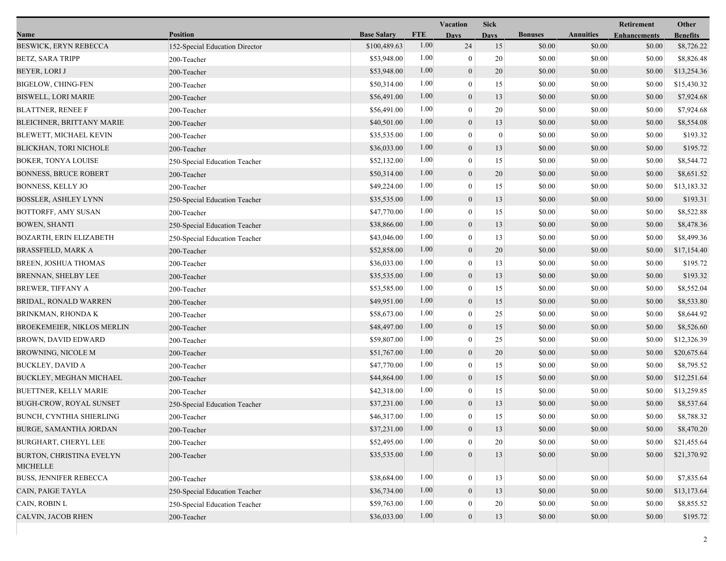|                                             |                                |                    |            | Vacation         | <b>Sick</b>      |                |                  | Retirement          | Other           |
|---------------------------------------------|--------------------------------|--------------------|------------|------------------|------------------|----------------|------------------|---------------------|-----------------|
| Name                                        | <b>Position</b>                | <b>Base Salary</b> | <b>FTE</b> | <b>Days</b>      | <b>Days</b>      | <b>Bonuses</b> | <b>Annuities</b> | <b>Enhancements</b> | <b>Benefits</b> |
| <b>BESWICK, ERYN REBECCA</b>                | 152-Special Education Director | \$100,489.63       | 1.00       | 24               | 15               | \$0.00         | \$0.00           | \$0.00              | \$8,726.22      |
| <b>BETZ, SARA TRIPP</b>                     | 200-Teacher                    | \$53,948.00        | 1.00       | $\boldsymbol{0}$ | 20               | \$0.00         | \$0.00           | \$0.00              | \$8,826.48      |
| BEYER, LORI J                               | 200-Teacher                    | \$53,948.00        | 1.00       | $\boldsymbol{0}$ | 20               | \$0.00         | \$0.00           | \$0.00              | \$13,254.36     |
| <b>BIGELOW, CHING-FEN</b>                   | 200-Teacher                    | \$50,314.00        | 1.00       | $\mathbf{0}$     | 15               | \$0.00         | \$0.00           | \$0.00              | \$15,430.32     |
| <b>BISWELL, LORI MARIE</b>                  | 200-Teacher                    | \$56,491.00        | 1.00       | $\boldsymbol{0}$ | 13               | \$0.00         | \$0.00           | \$0.00              | \$7,924.68      |
| <b>BLATTNER, RENEE F</b>                    | 200-Teacher                    | \$56,491.00        | 1.00       | $\mathbf{0}$     | 20               | \$0.00         | \$0.00           | \$0.00              | \$7,924.68      |
| BLEICHNER, BRITTANY MARIE                   | 200-Teacher                    | \$40,501.00        | 1.00       | $\mathbf{0}$     | 13               | \$0.00         | \$0.00           | \$0.00              | \$8,554.08      |
| <b>BLEWETT, MICHAEL KEVIN</b>               | 200-Teacher                    | \$35,535.00        | 1.00       | $\bf{0}$         | $\boldsymbol{0}$ | \$0.00         | \$0.00           | \$0.00              | \$193.32        |
| BLICKHAN, TORI NICHOLE                      | 200-Teacher                    | \$36,033.00        | 1.00       | $\boldsymbol{0}$ | 13               | \$0.00         | \$0.00           | \$0.00              | \$195.72        |
| <b>BOKER, TONYA LOUISE</b>                  | 250-Special Education Teacher  | \$52,132.00        | 1.00       | $\mathbf{0}$     | 15               | \$0.00         | \$0.00           | \$0.00              | \$8,544.72      |
| <b>BONNESS, BRUCE ROBERT</b>                | 200-Teacher                    | \$50,314.00        | 1.00       | $\boldsymbol{0}$ | 20               | \$0.00         | \$0.00           | \$0.00              | \$8,651.52      |
| <b>BONNESS, KELLY JO</b>                    | 200-Teacher                    | \$49,224.00        | 1.00       | $\boldsymbol{0}$ | 15               | \$0.00         | \$0.00           | \$0.00              | \$13,183.32     |
| BOSSLER, ASHLEY LYNN                        | 250-Special Education Teacher  | \$35,535.00        | 1.00       | $\mathbf{0}$     | 13               | \$0.00         | \$0.00           | \$0.00              | \$193.31        |
| BOTTORFF, AMY SUSAN                         | 200-Teacher                    | \$47,770.00        | 1.00       | $\bf{0}$         | 15               | \$0.00         | \$0.00           | \$0.00              | \$8,522.88      |
| <b>BOWEN, SHANTI</b>                        | 250-Special Education Teacher  | \$38,866.00        | 1.00       | $\boldsymbol{0}$ | 13               | \$0.00         | \$0.00           | \$0.00              | \$8,478.36      |
| BOZARTH, ERIN ELIZABETH                     | 250-Special Education Teacher  | \$43,046.00        | 1.00       | $\mathbf{0}$     | 13               | \$0.00         | \$0.00           | \$0.00              | \$8,499.36      |
| BRASSFIELD, MARK A                          | 200-Teacher                    | \$52,858.00        | 1.00       | $\mathbf{0}$     | 20               | \$0.00         | \$0.00           | \$0.00              | \$17,154.40     |
| BREEN, JOSHUA THOMAS                        | 200-Teacher                    | \$36,033.00        | 1.00       | $\boldsymbol{0}$ | 13               | \$0.00         | \$0.00           | \$0.00              | \$195.72        |
| BRENNAN, SHELBY LEE                         | 200-Teacher                    | \$35,535.00        | 1.00       | $\mathbf{0}$     | 13               | \$0.00         | \$0.00           | \$0.00              | \$193.32        |
| <b>BREWER, TIFFANY A</b>                    | 200-Teacher                    | \$53,585.00        | 1.00       | $\bf{0}$         | 15               | \$0.00         | \$0.00           | \$0.00              | \$8,552.04      |
| BRIDAL, RONALD WARREN                       | 200-Teacher                    | \$49,951.00        | 1.00       | $\boldsymbol{0}$ | 15               | \$0.00         | \$0.00           | \$0.00              | \$8,533.80      |
| BRINKMAN, RHONDA K                          | 200-Teacher                    | \$58,673.00        | 1.00       | $\mathbf{0}$     | 25               | \$0.00         | \$0.00           | \$0.00              | \$8,644.92      |
| <b>BROEKEMEIER, NIKLOS MERLIN</b>           | 200-Teacher                    | \$48,497.00        | 1.00       | $\boldsymbol{0}$ | 15               | \$0.00         | \$0.00           | \$0.00              | \$8,526.60      |
| BROWN, DAVID EDWARD                         | 200-Teacher                    | \$59,807.00        | 1.00       | $\boldsymbol{0}$ | 25               | \$0.00         | \$0.00           | \$0.00              | \$12,326.39     |
| BROWNING, NICOLE M                          | 200-Teacher                    | \$51,767.00        | 1.00       | $\mathbf{0}$     | 20               | \$0.00         | \$0.00           | \$0.00              | \$20,675.64     |
| <b>BUCKLEY, DAVID A</b>                     | 200-Teacher                    | \$47,770.00        | 1.00       | $\bf{0}$         | 15               | \$0.00         | \$0.00           | \$0.00              | \$8,795.52      |
| BUCKLEY, MEGHAN MICHAEL                     | 200-Teacher                    | \$44,864.00        | 1.00       | $\boldsymbol{0}$ | 15               | \$0.00         | \$0.00           | \$0.00              | \$12,251.64     |
| BUETTNER, KELLY MARIE                       | 200-Teacher                    | \$42,318.00        | 1.00       | $\boldsymbol{0}$ | 15               | \$0.00         | \$0.00           | \$0.00              | \$13,259.85     |
| <b>BUGH-CROW, ROYAL SUNSET</b>              | 250-Special Education Teacher  | \$37,231.00        | 1.00       | $\mathbf{0}$     | 13               | \$0.00         | \$0.00           | \$0.00              | \$8,537.64      |
| BUNCH, CYNTHIA SHIERLING                    | 200-Teacher                    | \$46,317.00        | 1.00       | $\overline{0}$   | 15               | \$0.00         | \$0.00           | \$0.00              | \$8,788.32      |
| BURGE, SAMANTHA JORDAN                      | 200-Teacher                    | \$37,231.00        | $1.00\,$   | $\theta$         | 13               | \$0.00         | \$0.00           | \$0.00              | \$8,470.20      |
| BURGHART, CHERYL LEE                        | 200-Teacher                    | \$52,495.00        | 1.00       | $\theta$         | 20               | \$0.00         | \$0.00           | \$0.00              | \$21,455.64     |
| BURTON, CHRISTINA EVELYN<br><b>MICHELLE</b> | 200-Teacher                    | \$35,535.00        | 1.00       | $\mathbf{0}$     | 13               | \$0.00         | \$0.00           | \$0.00              | \$21,370.92     |
| <b>BUSS, JENNIFER REBECCA</b>               | 200-Teacher                    | \$38,684.00        | 1.00       | $\boldsymbol{0}$ | 13               | \$0.00         | \$0.00           | \$0.00              | \$7,835.64      |
| CAIN, PAIGE TAYLA                           | 250-Special Education Teacher  | \$36,734.00        | 1.00       | $\mathbf{0}$     | 13               | \$0.00         | \$0.00           | \$0.00              | \$13,173.64     |
| CAIN, ROBIN L                               | 250-Special Education Teacher  | \$59,763.00        | 1.00       | 0                | 20               | \$0.00         | \$0.00           | \$0.00              | \$8,855.52      |
| CALVIN, JACOB RHEN                          | 200-Teacher                    | \$36,033.00        | $1.00\,$   | $\boldsymbol{0}$ | 13               | \$0.00         | \$0.00           | \$0.00              | \$195.72        |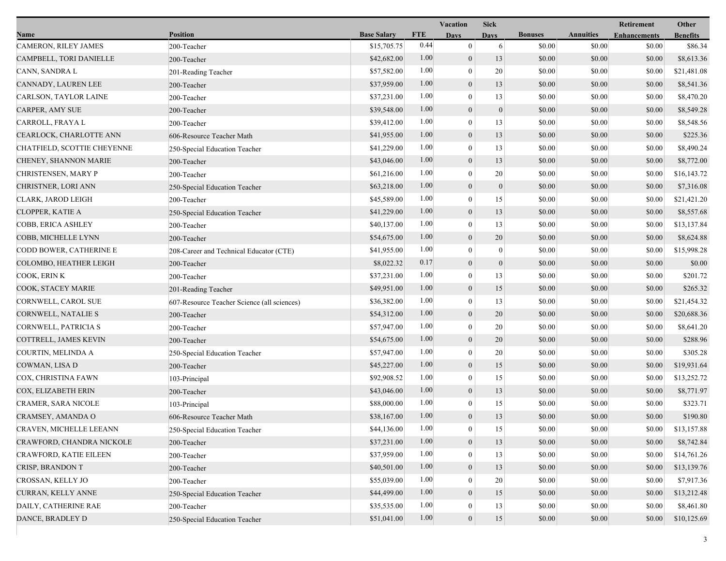|                               |                                             |                    |            | Vacation         | <b>Sick</b>      |                |                  | Retirement          | Other           |
|-------------------------------|---------------------------------------------|--------------------|------------|------------------|------------------|----------------|------------------|---------------------|-----------------|
| Name                          | <b>Position</b>                             | <b>Base Salary</b> | <b>FTE</b> | <b>Days</b>      | <b>Davs</b>      | <b>Bonuses</b> | <b>Annuities</b> | <b>Enhancements</b> | <b>Benefits</b> |
| CAMERON, RILEY JAMES          | 200-Teacher                                 | \$15,705.75        | 0.44       | $\mathbf{0}$     | 6                | \$0.00         | \$0.00           | \$0.00              | \$86.34         |
| CAMPBELL, TORI DANIELLE       | 200-Teacher                                 | \$42,682.00        | 1.00       | $\boldsymbol{0}$ | 13               | \$0.00         | \$0.00           | \$0.00              | \$8,613.36      |
| CANN, SANDRA L                | 201-Reading Teacher                         | \$57,582.00        | 1.00       | $\mathbf{0}$     | 20               | \$0.00         | \$0.00           | \$0.00              | \$21,481.08     |
| CANNADY, LAUREN LEE           | 200-Teacher                                 | \$37,959.00        | 1.00       | $\boldsymbol{0}$ | 13               | \$0.00         | \$0.00           | \$0.00              | \$8,541.36      |
| <b>CARLSON, TAYLOR LAINE</b>  | 200-Teacher                                 | \$37,231.00        | 1.00       | $\mathbf{0}$     | 13               | \$0.00         | \$0.00           | \$0.00              | \$8,470.20      |
| CARPER, AMY SUE               | 200-Teacher                                 | \$39,548.00        | 1.00       | $\boldsymbol{0}$ | $\mathbf{0}$     | \$0.00         | \$0.00           | \$0.00              | \$8,549.28      |
| CARROLL, FRAYA L              | 200-Teacher                                 | \$39,412.00        | 1.00       | $\mathbf{0}$     | 13               | \$0.00         | \$0.00           | \$0.00              | \$8,548.56      |
| CEARLOCK, CHARLOTTE ANN       | 606-Resource Teacher Math                   | \$41,955.00        | 1.00       | $\mathbf{0}$     | 13               | \$0.00         | \$0.00           | \$0.00              | \$225.36        |
| CHATFIELD, SCOTTIE CHEYENNE   | 250-Special Education Teacher               | \$41,229.00        | 1.00       | $\boldsymbol{0}$ | 13               | \$0.00         | \$0.00           | \$0.00              | \$8,490.24      |
| CHENEY, SHANNON MARIE         | 200-Teacher                                 | \$43,046.00        | 1.00       | $\boldsymbol{0}$ | 13               | \$0.00         | \$0.00           | \$0.00              | \$8,772.00      |
| CHRISTENSEN, MARY P           | 200-Teacher                                 | \$61,216.00        | 1.00       | $\mathbf{0}$     | 20               | \$0.00         | \$0.00           | \$0.00              | \$16,143.72     |
| CHRISTNER, LORI ANN           | 250-Special Education Teacher               | \$63,218.00        | 1.00       | $\boldsymbol{0}$ | $\boldsymbol{0}$ | \$0.00         | \$0.00           | \$0.00              | \$7,316.08      |
| CLARK, JAROD LEIGH            | 200-Teacher                                 | \$45,589.00        | 1.00       | $\mathbf{0}$     | 15               | \$0.00         | \$0.00           | \$0.00              | \$21,421.20     |
| CLOPPER, KATIE A              | 250-Special Education Teacher               | \$41,229.00        | 1.00       | $\mathbf{0}$     | 13               | \$0.00         | \$0.00           | \$0.00              | \$8,557.68      |
| COBB, ERICA ASHLEY            | 200-Teacher                                 | \$40,137.00        | 1.00       | $\boldsymbol{0}$ | 13               | \$0.00         | \$0.00           | \$0.00              | \$13,137.84     |
| COBB, MICHELLE LYNN           | 200-Teacher                                 | \$54,675.00        | 1.00       | $\mathbf{0}$     | 20               | \$0.00         | \$0.00           | \$0.00              | \$8,624.88      |
| CODD BOWER, CATHERINE E       | 208-Career and Technical Educator (CTE)     | \$41,955.00        | 1.00       | $\mathbf{0}$     | $\mathbf{0}$     | \$0.00         | \$0.00           | \$0.00              | \$15,998.28     |
| COLOMBO, HEATHER LEIGH        | 200-Teacher                                 | \$8,022.32         | 0.17       | $\boldsymbol{0}$ | $\mathbf{0}$     | \$0.00         | \$0.00           | \$0.00              | \$0.00          |
| COOK, ERINK                   | 200-Teacher                                 | \$37,231.00        | 1.00       | $\overline{0}$   | 13               | \$0.00         | \$0.00           | \$0.00              | \$201.72        |
| COOK, STACEY MARIE            | 201-Reading Teacher                         | \$49,951.00        | 1.00       | $\mathbf{0}$     | 15               | \$0.00         | \$0.00           | \$0.00              | \$265.32        |
| <b>CORNWELL, CAROL SUE</b>    | 607-Resource Teacher Science (all sciences) | \$36,382.00        | 1.00       | $\mathbf{0}$     | 13               | \$0.00         | \$0.00           | \$0.00              | \$21,454.32     |
| CORNWELL, NATALIE S           | 200-Teacher                                 | \$54,312.00        | 1.00       | $\mathbf{0}$     | 20               | \$0.00         | \$0.00           | \$0.00              | \$20,688.36     |
| CORNWELL, PATRICIA S          | 200-Teacher                                 | \$57,947.00        | 1.00       | $\theta$         | 20               | \$0.00         | \$0.00           | \$0.00              | \$8,641.20      |
| COTTRELL, JAMES KEVIN         | 200-Teacher                                 | \$54,675.00        | 1.00       | $\mathbf{0}$     | 20               | \$0.00         | \$0.00           | \$0.00              | \$288.96        |
| COURTIN, MELINDA A            | 250-Special Education Teacher               | \$57,947.00        | 1.00       | $\mathbf{0}$     | 20               | \$0.00         | \$0.00           | \$0.00              | \$305.28        |
| COWMAN, LISA D                | 200-Teacher                                 | \$45,227.00        | 1.00       | $\boldsymbol{0}$ | 15               | \$0.00         | \$0.00           | \$0.00              | \$19,931.64     |
| COX, CHRISTINA FAWN           | 103-Principal                               | \$92,908.52        | 1.00       | $\overline{0}$   | 15               | \$0.00         | \$0.00           | \$0.00              | \$13,252.72     |
| COX, ELIZABETH ERIN           | 200-Teacher                                 | \$43,046.00        | 1.00       | $\boldsymbol{0}$ | 13               | \$0.00         | \$0.00           | \$0.00              | \$8,771.97      |
| CRAMER, SARA NICOLE           | 103-Principal                               | \$88,000.00        | 1.00       | $\mathbf{0}$     | 15               | \$0.00         | \$0.00           | \$0.00              | \$323.71        |
| CRAMSEY, AMANDA O             | 606-Resource Teacher Math                   | \$38,167.00        | 1.00       | $\overline{0}$   | 13               | \$0.00         | \$0.00           | \$0.00              | \$190.80        |
| CRAVEN, MICHELLE LEEANN       | 250-Special Education Teacher               | \$44,136.00        | 1.00       | $\theta$         | 15               | \$0.00         | \$0.00           | \$0.00              | \$13,157.88     |
| CRAWFORD, CHANDRA NICKOLE     | 200-Teacher                                 | \$37,231.00        | 1.00       | $\boldsymbol{0}$ | 13               | \$0.00         | \$0.00           | \$0.00              | \$8,742.84      |
| <b>CRAWFORD, KATIE EILEEN</b> | 200-Teacher                                 | \$37,959.00        | 1.00       | $\theta$         | 13               | \$0.00         | \$0.00           | \$0.00              | \$14,761.26     |
| CRISP, BRANDON T              | 200-Teacher                                 | \$40,501.00        | 1.00       | $\mathbf{0}$     | 13               | \$0.00         | \$0.00           | \$0.00              | \$13,139.76     |
| CROSSAN, KELLY JO             | 200-Teacher                                 | \$55,039.00        | 1.00       | $\theta$         | 20               | \$0.00         | \$0.00           | \$0.00              | \$7,917.36      |
| CURRAN, KELLY ANNE            | 250-Special Education Teacher               | \$44,499.00        | 1.00       | $\mathbf{0}$     | 15               | \$0.00         | \$0.00           | \$0.00              | \$13,212.48     |
| DAILY, CATHERINE RAE          | 200-Teacher                                 | \$35,535.00        | 1.00       | $\mathbf{0}$     | 13               | \$0.00         | \$0.00           | \$0.00              | \$8,461.80      |
| DANCE, BRADLEY D              | 250-Special Education Teacher               | \$51,041.00        | 1.00       | $\boldsymbol{0}$ | 15               | \$0.00         | \$0.00           | \$0.00              | \$10,125.69     |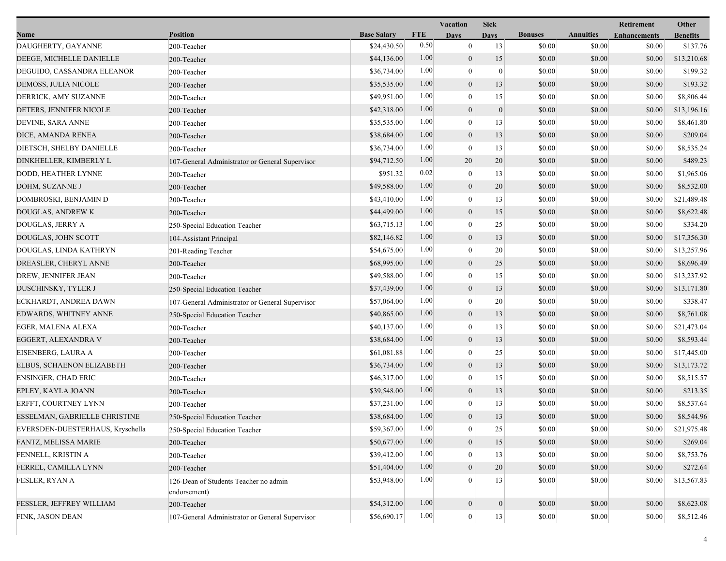|                                  |                                                 |                    |            | <b>Vacation</b>  | <b>Sick</b>      |                |                  | Retirement          | Other           |
|----------------------------------|-------------------------------------------------|--------------------|------------|------------------|------------------|----------------|------------------|---------------------|-----------------|
| Name                             | <b>Position</b>                                 | <b>Base Salary</b> | <b>FTE</b> | <b>Days</b>      | <b>Days</b>      | <b>Bonuses</b> | <b>Annuities</b> | <b>Enhancements</b> | <b>Benefits</b> |
| DAUGHERTY, GAYANNE               | 200-Teacher                                     | \$24,430.50        | 0.50       | $\mathbf{0}$     | 13               | \$0.00         | \$0.00           | \$0.00              | \$137.76        |
| DEEGE, MICHELLE DANIELLE         | 200-Teacher                                     | \$44,136.00        | 1.00       | $\boldsymbol{0}$ | 15               | \$0.00         | \$0.00           | \$0.00              | \$13,210.68     |
| DEGUIDO, CASSANDRA ELEANOR       | 200-Teacher                                     | \$36,734.00        | 1.00       | $\theta$         | $\mathbf{0}$     | \$0.00         | \$0.00           | \$0.00              | \$199.32        |
| DEMOSS, JULIA NICOLE             | 200-Teacher                                     | \$35,535.00        | 1.00       | $\mathbf{0}$     | 13               | \$0.00         | \$0.00           | \$0.00              | \$193.32        |
| DERRICK, AMY SUZANNE             | 200-Teacher                                     | \$49,951.00        | 1.00       | $\overline{0}$   | 15               | \$0.00         | \$0.00           | \$0.00              | \$8,806.44      |
| DETERS, JENNIFER NICOLE          | 200-Teacher                                     | \$42,318.00        | 1.00       | $\theta$         | $\overline{0}$   | \$0.00         | \$0.00           | \$0.00              | \$13,196.16     |
| DEVINE, SARA ANNE                | 200-Teacher                                     | \$35,535.00        | 1.00       | $\overline{0}$   | 13               | \$0.00         | \$0.00           | \$0.00              | \$8,461.80      |
| DICE, AMANDA RENEA               | 200-Teacher                                     | \$38,684.00        | 1.00       | $\boldsymbol{0}$ | 13               | \$0.00         | \$0.00           | \$0.00              | \$209.04        |
| DIETSCH, SHELBY DANIELLE         | 200-Teacher                                     | \$36,734.00        | 1.00       | $\theta$         | 13               | \$0.00         | \$0.00           | \$0.00              | \$8,535.24      |
| DINKHELLER, KIMBERLY L           | 107-General Administrator or General Supervisor | \$94,712.50        | 1.00       | 20               | 20               | \$0.00         | \$0.00           | \$0.00              | \$489.23        |
| DODD, HEATHER LYNNE              | 200-Teacher                                     | \$951.32           | 0.02       | $\theta$         | 13               | \$0.00         | \$0.00           | \$0.00              | \$1,965.06      |
| DOHM, SUZANNE J                  | 200-Teacher                                     | \$49,588.00        | 1.00       | $\overline{0}$   | 20               | \$0.00         | \$0.00           | \$0.00              | \$8,532.00      |
| DOMBROSKI, BENJAMIN D            | 200-Teacher                                     | \$43,410.00        | 1.00       | $\overline{0}$   | 13               | \$0.00         | \$0.00           | \$0.00              | \$21,489.48     |
| DOUGLAS, ANDREW K                | 200-Teacher                                     | \$44,499.00        | 1.00       | $\boldsymbol{0}$ | 15               | \$0.00         | \$0.00           | \$0.00              | \$8,622.48      |
| DOUGLAS, JERRY A                 | 250-Special Education Teacher                   | \$63,715.13        | 1.00       | $\overline{0}$   | 25               | \$0.00         | \$0.00           | \$0.00              | \$334.20        |
| DOUGLAS, JOHN SCOTT              | 104-Assistant Principal                         | \$82,146.82        | 1.00       | $\mathbf{0}$     | 13               | \$0.00         | \$0.00           | \$0.00              | \$17,356.30     |
| DOUGLAS, LINDA KATHRYN           | 201-Reading Teacher                             | \$54,675.00        | 1.00       | $\theta$         | 20               | \$0.00         | \$0.00           | \$0.00              | \$13,257.96     |
| DREASLER, CHERYL ANNE            | 200-Teacher                                     | \$68,995.00        | 1.00       | $\overline{0}$   | 25               | \$0.00         | \$0.00           | \$0.00              | \$8,696.49      |
| DREW, JENNIFER JEAN              | 200-Teacher                                     | \$49,588.00        | 1.00       | $\overline{0}$   | 15               | \$0.00         | \$0.00           | \$0.00              | \$13,237.92     |
| DUSCHINSKY, TYLER J              | 250-Special Education Teacher                   | \$37,439.00        | 1.00       | $\boldsymbol{0}$ | 13               | \$0.00         | \$0.00           | \$0.00              | \$13,171.80     |
| ECKHARDT, ANDREA DAWN            | 107-General Administrator or General Supervisor | \$57,064.00        | 1.00       | $\overline{0}$   | 20               | \$0.00         | \$0.00           | \$0.00              | \$338.47        |
| EDWARDS, WHITNEY ANNE            | 250-Special Education Teacher                   | \$40,865.00        | 1.00       | $\mathbf{0}$     | 13               | \$0.00         | \$0.00           | \$0.00              | \$8,761.08      |
| EGER, MALENA ALEXA               | 200-Teacher                                     | \$40,137.00        | 1.00       | $\theta$         | 13               | \$0.00         | \$0.00           | \$0.00              | \$21,473.04     |
| EGGERT, ALEXANDRA V              | 200-Teacher                                     | \$38,684.00        | 1.00       | $\theta$         | 13               | \$0.00         | \$0.00           | \$0.00              | \$8,593.44      |
| EISENBERG, LAURA A               | 200-Teacher                                     | \$61,081.88        | 1.00       | $\overline{0}$   | 25               | \$0.00         | \$0.00           | \$0.00              | \$17,445.00     |
| ELBUS, SCHAENON ELIZABETH        | 200-Teacher                                     | \$36,734.00        | 1.00       | $\boldsymbol{0}$ | 13               | \$0.00         | \$0.00           | \$0.00              | \$13,173.72     |
| <b>ENSINGER, CHAD ERIC</b>       | 200-Teacher                                     | \$46,317.00        | 1.00       | $\overline{0}$   | 15               | \$0.00         | \$0.00           | \$0.00              | \$8,515.57      |
| EPLEY, KAYLA JOANN               | 200-Teacher                                     | \$39,548.00        | 1.00       | $\mathbf{0}$     | 13               | \$0.00         | \$0.00           | \$0.00              | \$213.35        |
| ERFFT, COURTNEY LYNN             | 200-Teacher                                     | \$37,231.00        | 1.00       | $\Omega$         | 13               | \$0.00         | \$0.00           | \$0.00              | \$8,537.64      |
| ESSELMAN, GABRIELLE CHRISTINE    | 250-Special Education Teacher                   | \$38,684.00        | 1.00       | $\overline{0}$   | 13               | \$0.00         | \$0.00           | \$0.00              | \$8,544.96      |
| EVERSDEN-DUESTERHAUS, Kryschella | 250-Special Education Teacher                   | \$59,367.00        | $1.00\,$   | $\boldsymbol{0}$ | 25               | \$0.00         | \$0.00           | \$0.00              | \$21,975.48     |
| FANTZ, MELISSA MARIE             | 200-Teacher                                     | \$50,677.00        | 1.00       | $\boldsymbol{0}$ | 15               | \$0.00         | \$0.00           | \$0.00              | \$269.04        |
| FENNELL, KRISTIN A               | 200-Teacher                                     | \$39,412.00        | 1.00       | $\overline{0}$   | 13               | \$0.00         | \$0.00           | \$0.00              | \$8,753.76      |
| FERREL, CAMILLA LYNN             | 200-Teacher                                     | \$51,404.00        | 1.00       | $\boldsymbol{0}$ | 20               | \$0.00         | \$0.00           | \$0.00              | \$272.64        |
| FESLER, RYAN A                   | 126-Dean of Students Teacher no admin           | \$53,948.00        | 1.00       | $\Omega$         | 13               | \$0.00         | \$0.00           | \$0.00              | \$13,567.83     |
|                                  | endorsement)                                    |                    |            |                  |                  |                |                  |                     |                 |
| FESSLER, JEFFREY WILLIAM         | 200-Teacher                                     | \$54,312.00        | 1.00       | $\boldsymbol{0}$ | $\boldsymbol{0}$ | \$0.00         | \$0.00           | \$0.00              | \$8,623.08      |
| FINK, JASON DEAN                 | 107-General Administrator or General Supervisor | \$56,690.17        | 1.00       | $\boldsymbol{0}$ | 13               | \$0.00         | \$0.00           | \$0.00              | \$8,512.46      |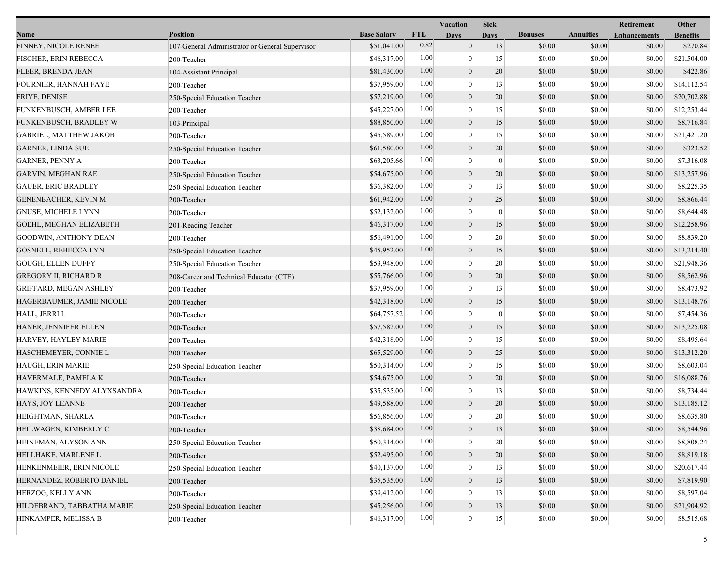|                               |                                                 |                    |            | <b>Vacation</b>  | <b>Sick</b>  |                |                  | Retirement          | Other           |
|-------------------------------|-------------------------------------------------|--------------------|------------|------------------|--------------|----------------|------------------|---------------------|-----------------|
| Name                          | <b>Position</b>                                 | <b>Base Salary</b> | <b>FTE</b> | <b>Days</b>      | <b>Days</b>  | <b>Bonuses</b> | <b>Annuities</b> | <b>Enhancements</b> | <b>Benefits</b> |
| FINNEY, NICOLE RENEE          | 107-General Administrator or General Supervisor | \$51,041.00        | 0.82       | $\mathbf{0}$     | 13           | \$0.00         | \$0.00           | \$0.00              | \$270.84        |
| FISCHER, ERIN REBECCA         | 200-Teacher                                     | \$46,317.00        | 1.00       | $\theta$         | 15           | \$0.00         | \$0.00           | \$0.00              | \$21,504.00     |
| FLEER, BRENDA JEAN            | 104-Assistant Principal                         | \$81,430.00        | 1.00       | $\mathbf{0}$     | 20           | \$0.00         | \$0.00           | \$0.00              | \$422.86        |
| FOURNIER, HANNAH FAYE         | 200-Teacher                                     | \$37,959.00        | 1.00       | $\theta$         | 13           | \$0.00         | \$0.00           | \$0.00              | \$14,112.54     |
| FRIYE, DENISE                 | 250-Special Education Teacher                   | \$57,219.00        | 1.00       | $\theta$         | 20           | \$0.00         | \$0.00           | \$0.00              | \$20,702.88     |
| FUNKENBUSCH, AMBER LEE        | 200-Teacher                                     | \$45,227.00        | 1.00       | $\theta$         | 15           | \$0.00         | \$0.00           | \$0.00              | \$12,253.44     |
| FUNKENBUSCH, BRADLEY W        | 103-Principal                                   | \$88,850.00        | 1.00       | $\mathbf{0}$     | 15           | \$0.00         | \$0.00           | \$0.00              | \$8,716.84      |
| <b>GABRIEL, MATTHEW JAKOB</b> | 200-Teacher                                     | \$45,589.00        | 1.00       | $\mathbf{0}$     | 15           | \$0.00         | \$0.00           | \$0.00              | \$21,421.20     |
| <b>GARNER, LINDA SUE</b>      | 250-Special Education Teacher                   | \$61,580.00        | 1.00       | $\mathbf{0}$     | 20           | \$0.00         | \$0.00           | \$0.00              | \$323.52        |
| <b>GARNER, PENNY A</b>        | 200-Teacher                                     | \$63,205.66        | 1.00       | $\theta$         | $\mathbf{0}$ | \$0.00         | \$0.00           | \$0.00              | \$7,316.08      |
| <b>GARVIN, MEGHAN RAE</b>     | 250-Special Education Teacher                   | \$54,675.00        | 1.00       | $\mathbf{0}$     | 20           | \$0.00         | \$0.00           | \$0.00              | \$13,257.96     |
| <b>GAUER, ERIC BRADLEY</b>    | 250-Special Education Teacher                   | \$36,382.00        | 1.00       | $\theta$         | 13           | \$0.00         | \$0.00           | \$0.00              | \$8,225.35      |
| GENENBACHER, KEVIN M          | 200-Teacher                                     | \$61,942.00        | 1.00       | $\theta$         | 25           | \$0.00         | \$0.00           | \$0.00              | \$8,866.44      |
| <b>GNUSE, MICHELE LYNN</b>    | 200-Teacher                                     | \$52,132.00        | 1.00       | $\theta$         | $\mathbf{0}$ | \$0.00         | \$0.00           | \$0.00              | \$8,644.48      |
| GOEHL, MEGHAN ELIZABETH       | 201-Reading Teacher                             | \$46,317.00        | 1.00       | $\mathbf{0}$     | 15           | \$0.00         | \$0.00           | \$0.00              | \$12,258.96     |
| <b>GOODWIN, ANTHONY DEAN</b>  | 200-Teacher                                     | \$56,491.00        | 1.00       | $\mathbf{0}$     | 20           | \$0.00         | \$0.00           | \$0.00              | \$8,839.20      |
| GOSNELL, REBECCA LYN          | 250-Special Education Teacher                   | \$45,952.00        | 1.00       | $\mathbf{0}$     | 15           | \$0.00         | \$0.00           | \$0.00              | \$13,214.40     |
| <b>GOUGH, ELLEN DUFFY</b>     | 250-Special Education Teacher                   | \$53,948.00        | 1.00       | $\theta$         | 20           | \$0.00         | \$0.00           | \$0.00              | \$21,948.36     |
| <b>GREGORY II, RICHARD R</b>  | 208-Career and Technical Educator (CTE)         | \$55,766.00        | 1.00       | $\theta$         | 20           | \$0.00         | \$0.00           | \$0.00              | \$8,562.96      |
| GRIFFARD, MEGAN ASHLEY        | 200-Teacher                                     | \$37,959.00        | 1.00       | $\theta$         | 13           | \$0.00         | \$0.00           | \$0.00              | \$8,473.92      |
| HAGERBAUMER, JAMIE NICOLE     | 200-Teacher                                     | \$42,318.00        | 1.00       | $\boldsymbol{0}$ | 15           | \$0.00         | \$0.00           | \$0.00              | \$13,148.76     |
| HALL, JERRI L                 | 200-Teacher                                     | \$64,757.52        | 1.00       | $\theta$         | $\mathbf{0}$ | \$0.00         | \$0.00           | \$0.00              | \$7,454.36      |
| HANER, JENNIFER ELLEN         | 200-Teacher                                     | \$57,582.00        | 1.00       | $\mathbf{0}$     | 15           | \$0.00         | \$0.00           | \$0.00              | \$13,225.08     |
| <b>HARVEY, HAYLEY MARIE</b>   | 200-Teacher                                     | \$42,318.00        | 1.00       | $\mathbf{0}$     | 15           | \$0.00         | \$0.00           | \$0.00              | \$8,495.64      |
| HASCHEMEYER, CONNIE L         | 200-Teacher                                     | \$65,529.00        | 1.00       | $\theta$         | 25           | \$0.00         | \$0.00           | \$0.00              | \$13,312.20     |
| HAUGH, ERIN MARIE             | 250-Special Education Teacher                   | \$50,314.00        | 1.00       | $\theta$         | 15           | \$0.00         | \$0.00           | \$0.00              | \$8,603.04      |
| HAVERMALE, PAMELA K           | 200-Teacher                                     | \$54,675.00        | 1.00       | $\mathbf{0}$     | 20           | \$0.00         | \$0.00           | \$0.00              | \$16,088.76     |
| HAWKINS, KENNEDY ALYXSANDRA   | 200-Teacher                                     | \$35,535.00        | 1.00       | $\theta$         | 13           | \$0.00         | \$0.00           | \$0.00              | \$8,734.44      |
| HAYS, JOY LEANNE              | 200-Teacher                                     | \$49,588.00        | 1.00       | $\mathbf{0}$     | 20           | \$0.00         | \$0.00           | \$0.00              | \$13,185.12     |
| HEIGHTMAN, SHARLA             | 200-Teacher                                     | \$56,856.00        | 1.00       | $\mathbf{0}$     | 20           | \$0.00         | \$0.00           | \$0.00              | \$8,635.80      |
| HEILWAGEN, KIMBERLY C         | 200-Teacher                                     | \$38,684.00        | $1.00\,$   | $\theta$         | 13           | \$0.00         | \$0.00           | \$0.00              | \$8,544.96      |
| HEINEMAN, ALYSON ANN          | 250-Special Education Teacher                   | \$50,314.00        | 1.00       | $\theta$         | 20           | \$0.00         | \$0.00           | \$0.00              | \$8,808.24      |
| HELLHAKE, MARLENE L           | 200-Teacher                                     | \$52,495.00        | 1.00       | $\mathbf{0}$     | 20           | \$0.00         | \$0.00           | \$0.00              | \$8,819.18      |
| HENKENMEIER, ERIN NICOLE      | 250-Special Education Teacher                   | \$40,137.00        | 1.00       | $\theta$         | 13           | \$0.00         | \$0.00           | \$0.00              | \$20,617.44     |
| HERNANDEZ, ROBERTO DANIEL     | 200-Teacher                                     | \$35,535.00        | 1.00       | $\mathbf{0}$     | 13           | \$0.00         | \$0.00           | \$0.00              | \$7,819.90      |
| HERZOG, KELLY ANN             | 200-Teacher                                     | \$39,412.00        | 1.00       | $\theta$         | 13           | \$0.00         | \$0.00           | \$0.00              | \$8,597.04      |
| HILDEBRAND, TABBATHA MARIE    | 250-Special Education Teacher                   | \$45,256.00        | 1.00       | $\boldsymbol{0}$ | 13           | \$0.00         | \$0.00           | \$0.00              | \$21,904.92     |
| HINKAMPER, MELISSA B          | 200-Teacher                                     | \$46,317.00        | 1.00       | $\mathbf{0}$     | 15           | \$0.00         | \$0.00           | \$0.00              | \$8,515.68      |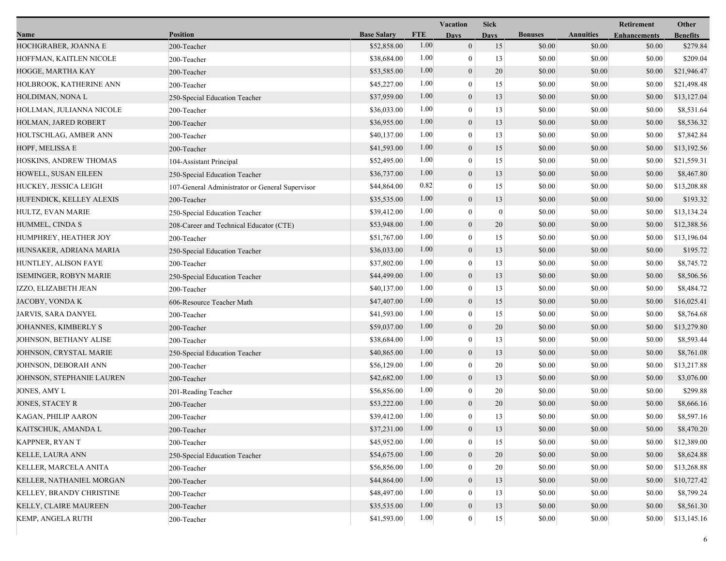|                           |                                                 |                    |            | Vacation         | <b>Sick</b>  |                |                  | Retirement          | Other           |
|---------------------------|-------------------------------------------------|--------------------|------------|------------------|--------------|----------------|------------------|---------------------|-----------------|
| Name                      | <b>Position</b>                                 | <b>Base Salary</b> | <b>FTE</b> | <b>Days</b>      | <b>Days</b>  | <b>Bonuses</b> | <b>Annuities</b> | <b>Enhancements</b> | <b>Benefits</b> |
| HOCHGRABER, JOANNA E      | 200-Teacher                                     | \$52,858.00        | 1.00       | $\mathbf{0}$     | 15           | \$0.00         | \$0.00           | \$0.00              | \$279.84        |
| HOFFMAN, KAITLEN NICOLE   | 200-Teacher                                     | \$38,684.00        | 1.00       | $\boldsymbol{0}$ | 13           | \$0.00         | \$0.00           | \$0.00              | \$209.04        |
| HOGGE, MARTHA KAY         | 200-Teacher                                     | \$53,585.00        | 1.00       | $\boldsymbol{0}$ | 20           | \$0.00         | \$0.00           | \$0.00              | \$21,946.47     |
| HOLBROOK, KATHERINE ANN   | 200-Teacher                                     | \$45,227.00        | 1.00       | $\mathbf{0}$     | 15           | \$0.00         | \$0.00           | \$0.00              | \$21,498.48     |
| HOLDIMAN, NONA L          | 250-Special Education Teacher                   | \$37,959.00        | 1.00       | $\boldsymbol{0}$ | 13           | \$0.00         | \$0.00           | \$0.00              | \$13,127.04     |
| HOLLMAN, JULIANNA NICOLE  | 200-Teacher                                     | \$36,033.00        | 1.00       | $\mathbf{0}$     | 13           | \$0.00         | \$0.00           | \$0.00              | \$8,531.64      |
| HOLMAN, JARED ROBERT      | 200-Teacher                                     | \$36,955.00        | 1.00       | $\boldsymbol{0}$ | 13           | \$0.00         | \$0.00           | \$0.00              | \$8,536.32      |
| HOLTSCHLAG, AMBER ANN     | 200-Teacher                                     | \$40,137.00        | 1.00       | $\mathbf{0}$     | 13           | \$0.00         | \$0.00           | \$0.00              | \$7,842.84      |
| HOPF, MELISSA E           | 200-Teacher                                     | \$41,593.00        | 1.00       | $\boldsymbol{0}$ | 15           | \$0.00         | \$0.00           | \$0.00              | \$13,192.56     |
| HOSKINS, ANDREW THOMAS    | 104-Assistant Principal                         | \$52,495.00        | 1.00       | $\mathbf{0}$     | 15           | \$0.00         | \$0.00           | \$0.00              | \$21,559.31     |
| HOWELL, SUSAN EILEEN      | 250-Special Education Teacher                   | \$36,737.00        | 1.00       | $\boldsymbol{0}$ | 13           | \$0.00         | \$0.00           | \$0.00              | \$8,467.80      |
| HUCKEY, JESSICA LEIGH     | 107-General Administrator or General Supervisor | \$44,864.00        | 0.82       | $\mathbf{0}$     | 15           | \$0.00         | \$0.00           | \$0.00              | \$13,208.88     |
| HUFENDICK, KELLEY ALEXIS  | 200-Teacher                                     | \$35,535.00        | 1.00       | $\boldsymbol{0}$ | 13           | \$0.00         | \$0.00           | \$0.00              | \$193.32        |
| HULTZ, EVAN MARIE         | 250-Special Education Teacher                   | \$39,412.00        | 1.00       | $\mathbf{0}$     | $\mathbf{0}$ | \$0.00         | \$0.00           | \$0.00              | \$13,134.24     |
| HUMMEL, CINDA S           | 208-Career and Technical Educator (CTE)         | \$53,948.00        | 1.00       | $\boldsymbol{0}$ | 20           | \$0.00         | \$0.00           | \$0.00              | \$12,388.56     |
| HUMPHREY, HEATHER JOY     | 200-Teacher                                     | \$51,767.00        | 1.00       | $\mathbf{0}$     | 15           | \$0.00         | \$0.00           | \$0.00              | \$13,196.04     |
| HUNSAKER, ADRIANA MARIA   | 250-Special Education Teacher                   | \$36,033.00        | 1.00       | $\boldsymbol{0}$ | 13           | \$0.00         | \$0.00           | \$0.00              | \$195.72        |
| HUNTLEY, ALISON FAYE      | 200-Teacher                                     | \$37,802.00        | 1.00       | $\boldsymbol{0}$ | 13           | \$0.00         | \$0.00           | \$0.00              | \$8,745.72      |
| ISEMINGER, ROBYN MARIE    | 250-Special Education Teacher                   | \$44,499.00        | 1.00       | $\mathbf{0}$     | 13           | \$0.00         | \$0.00           | \$0.00              | \$8,506.56      |
| IZZO, ELIZABETH JEAN      | 200-Teacher                                     | \$40,137.00        | 1.00       | $\theta$         | 13           | \$0.00         | \$0.00           | \$0.00              | \$8,484.72      |
| JACOBY, VONDA K           | 606-Resource Teacher Math                       | \$47,407.00        | 1.00       | $\boldsymbol{0}$ | 15           | \$0.00         | \$0.00           | \$0.00              | \$16,025.41     |
| JARVIS, SARA DANYEL       | 200-Teacher                                     | \$41,593.00        | 1.00       | $\mathbf{0}$     | 15           | \$0.00         | \$0.00           | \$0.00              | \$8,764.68      |
| JOHANNES, KIMBERLY S      | 200-Teacher                                     | \$59,037.00        | 1.00       | $\boldsymbol{0}$ | 20           | \$0.00         | \$0.00           | \$0.00              | \$13,279.80     |
| JOHNSON, BETHANY ALISE    | 200-Teacher                                     | \$38,684.00        | 1.00       | $\mathbf{0}$     | 13           | \$0.00         | \$0.00           | \$0.00              | \$8,593.44      |
| JOHNSON, CRYSTAL MARIE    | 250-Special Education Teacher                   | \$40,865.00        | 1.00       | $\mathbf{0}$     | 13           | \$0.00         | \$0.00           | \$0.00              | \$8,761.08      |
| JOHNSON, DEBORAH ANN      | 200-Teacher                                     | \$56,129.00        | 1.00       | $\theta$         | 20           | \$0.00         | \$0.00           | \$0.00              | \$13,217.88     |
| JOHNSON, STEPHANIE LAUREN | 200-Teacher                                     | \$42,682.00        | 1.00       | $\boldsymbol{0}$ | 13           | \$0.00         | \$0.00           | \$0.00              | \$3,076.00      |
| JONES, AMY L              | 201-Reading Teacher                             | \$56,856.00        | 1.00       | $\boldsymbol{0}$ | 20           | \$0.00         | \$0.00           | \$0.00              | \$299.88        |
| <b>JONES, STACEY R</b>    | 200-Teacher                                     | \$53,222.00        | 1.00       | $\mathbf{0}$     | 20           | \$0.00         | \$0.00           | \$0.00              | \$8,666.16      |
| KAGAN, PHILIP AARON       | 200-Teacher                                     | \$39,412.00        | 1.00       | $\mathbf{0}$     | 13           | \$0.00         | \$0.00           | \$0.00              | \$8,597.16      |
| KAITSCHUK, AMANDA L       | 200-Teacher                                     | \$37,231.00        | $1.00\,$   | $\boldsymbol{0}$ | 13           | \$0.00         | \$0.00           | \$0.00              | \$8,470.20      |
| KAPPNER, RYAN T           | 200-Teacher                                     | \$45,952.00        | 1.00       | $\theta$         | 15           | \$0.00         | \$0.00           | \$0.00              | \$12,389.00     |
| <b>KELLE, LAURA ANN</b>   | 250-Special Education Teacher                   | \$54,675.00        | 1.00       | $\boldsymbol{0}$ | 20           | \$0.00         | \$0.00           | \$0.00              | \$8,624.88      |
| KELLER, MARCELA ANITA     | 200-Teacher                                     | \$56,856.00        | 1.00       | $\Omega$         | 20           | \$0.00         | \$0.00           | \$0.00              | \$13,268.88     |
| KELLER, NATHANIEL MORGAN  | 200-Teacher                                     | \$44,864.00        | 1.00       | $\mathbf{0}$     | 13           | \$0.00         | \$0.00           | \$0.00              | \$10,727.42     |
| KELLEY, BRANDY CHRISTINE  | 200-Teacher                                     | \$48,497.00        | 1.00       | $\theta$         | 13           | \$0.00         | \$0.00           | \$0.00              | \$8,799.24      |
| KELLY, CLAIRE MAUREEN     | 200-Teacher                                     | \$35,535.00        | 1.00       | $\boldsymbol{0}$ | 13           | \$0.00         | \$0.00           | \$0.00              | \$8,561.30      |
| <b>KEMP, ANGELA RUTH</b>  | 200-Teacher                                     | \$41,593.00        | 1.00       | $\mathbf{0}$     | 15           | \$0.00         | \$0.00           | \$0.00              | \$13,145.16     |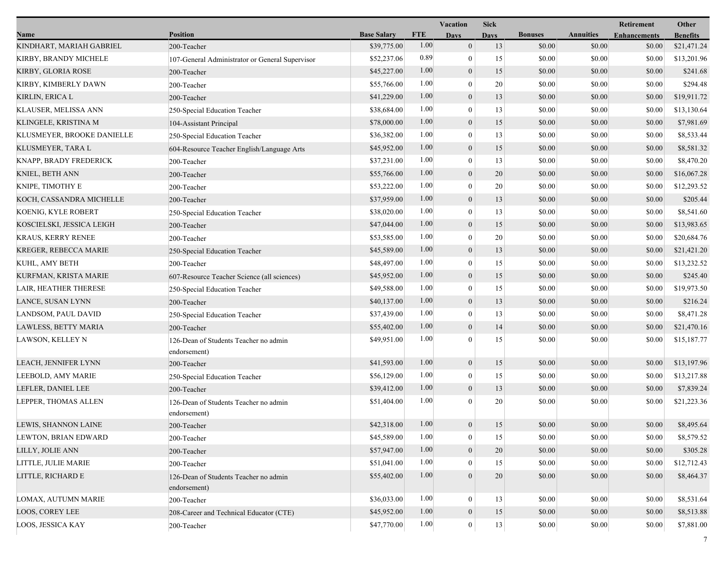|                             |                                                       |                    |            | Vacation<br><b>Sick</b> |             |                |                  | Retirement          | Other           |  |
|-----------------------------|-------------------------------------------------------|--------------------|------------|-------------------------|-------------|----------------|------------------|---------------------|-----------------|--|
| Name                        | <b>Position</b>                                       | <b>Base Salary</b> | <b>FTE</b> | <b>Days</b>             | <b>Days</b> | <b>Bonuses</b> | <b>Annuities</b> | <b>Enhancements</b> | <b>Benefits</b> |  |
| KINDHART, MARIAH GABRIEL    | 200-Teacher                                           | \$39,775.00        | 1.00       | $\mathbf{0}$            | 13          | \$0.00         | \$0.00           | \$0.00              | \$21,471.24     |  |
| KIRBY, BRANDY MICHELE       | 107-General Administrator or General Supervisor       | \$52,237.06        | 0.89       | $\boldsymbol{0}$        | 15          | \$0.00         | \$0.00           | \$0.00              | \$13,201.96     |  |
| KIRBY, GLORIA ROSE          | 200-Teacher                                           | \$45,227.00        | 1.00       | $\boldsymbol{0}$        | 15          | \$0.00         | \$0.00           | \$0.00              | \$241.68        |  |
| KIRBY, KIMBERLY DAWN        | 200-Teacher                                           | \$55,766.00        | 1.00       | $\mathbf{0}$            | 20          | \$0.00         | \$0.00           | \$0.00              | \$294.48        |  |
| KIRLIN, ERICA L             | 200-Teacher                                           | \$41,229.00        | 1.00       | $\boldsymbol{0}$        | 13          | \$0.00         | \$0.00           | \$0.00              | \$19,911.72     |  |
| KLAUSER, MELISSA ANN        | 250-Special Education Teacher                         | \$38,684.00        | 1.00       | $\boldsymbol{0}$        | 13          | \$0.00         | \$0.00           | \$0.00              | \$13,130.64     |  |
| KLINGELE, KRISTINA M        | 104-Assistant Principal                               | \$78,000.00        | 1.00       | $\mathbf{0}$            | 15          | \$0.00         | \$0.00           | \$0.00              | \$7,981.69      |  |
| KLUSMEYER, BROOKE DANIELLE  | 250-Special Education Teacher                         | \$36,382.00        | 1.00       | $\bf{0}$                | 13          | \$0.00         | \$0.00           | \$0.00              | \$8,533.44      |  |
| KLUSMEYER, TARA L           | 604-Resource Teacher English/Language Arts            | \$45,952.00        | 1.00       | $\boldsymbol{0}$        | 15          | \$0.00         | \$0.00           | \$0.00              | \$8,581.32      |  |
| KNAPP, BRADY FREDERICK      | 200-Teacher                                           | \$37,231.00        | 1.00       | $\mathbf{0}$            | 13          | \$0.00         | \$0.00           | \$0.00              | \$8,470.20      |  |
| KNIEL, BETH ANN             | 200-Teacher                                           | \$55,766.00        | 1.00       | $\mathbf{0}$            | 20          | \$0.00         | \$0.00           | \$0.00              | \$16,067.28     |  |
| KNIPE, TIMOTHY E            | 200-Teacher                                           | \$53,222.00        | 1.00       | $\boldsymbol{0}$        | 20          | \$0.00         | \$0.00           | \$0.00              | \$12,293.52     |  |
| KOCH, CASSANDRA MICHELLE    | 200-Teacher                                           | \$37,959.00        | 1.00       | $\mathbf{0}$            | 13          | \$0.00         | \$0.00           | \$0.00              | \$205.44        |  |
| KOENIG, KYLE ROBERT         | 250-Special Education Teacher                         | \$38,020.00        | 1.00       | $\bf{0}$                | 13          | \$0.00         | \$0.00           | \$0.00              | \$8,541.60      |  |
| KOSCIELSKI, JESSICA LEIGH   | 200-Teacher                                           | \$47,044.00        | 1.00       | $\mathbf{0}$            | 15          | \$0.00         | \$0.00           | \$0.00              | \$13,983.65     |  |
| <b>KRAUS, KERRY RENEE</b>   | 200-Teacher                                           | \$53,585.00        | 1.00       | $\mathbf{0}$            | 20          | \$0.00         | \$0.00           | \$0.00              | \$20,684.76     |  |
| KREGER, REBECCA MARIE       | 250-Special Education Teacher                         | \$45,589.00        | 1.00       | $\mathbf{0}$            | 13          | \$0.00         | \$0.00           | \$0.00              | \$21,421.20     |  |
| KUHL, AMY BETH              | 200-Teacher                                           | \$48,497.00        | 1.00       | $\boldsymbol{0}$        | 15          | \$0.00         | \$0.00           | \$0.00              | \$13,232.52     |  |
| KURFMAN, KRISTA MARIE       | 607-Resource Teacher Science (all sciences)           | \$45,952.00        | 1.00       | $\mathbf{0}$            | 15          | \$0.00         | \$0.00           | \$0.00              | \$245.40        |  |
| LAIR, HEATHER THERESE       | 250-Special Education Teacher                         | \$49,588.00        | 1.00       | $\bf{0}$                | 15          | \$0.00         | \$0.00           | \$0.00              | \$19,973.50     |  |
| LANCE, SUSAN LYNN           | 200-Teacher                                           | \$40,137.00        | 1.00       | $\boldsymbol{0}$        | 13          | \$0.00         | \$0.00           | \$0.00              | \$216.24        |  |
| LANDSOM, PAUL DAVID         | 250-Special Education Teacher                         | \$37,439.00        | 1.00       | $\mathbf{0}$            | 13          | \$0.00         | \$0.00           | \$0.00              | \$8,471.28      |  |
| LAWLESS, BETTY MARIA        | 200-Teacher                                           | \$55,402.00        | 1.00       | $\mathbf{0}$            | 14          | \$0.00         | \$0.00           | \$0.00              | \$21,470.16     |  |
| LAWSON, KELLEY N            | 126-Dean of Students Teacher no admin<br>endorsement) | \$49,951.00        | 1.00       | $\Omega$                | 15          | \$0.00         | \$0.00           | \$0.00              | \$15,187.77     |  |
| LEACH, JENNIFER LYNN        | 200-Teacher                                           | \$41,593.00        | 1.00       | $\boldsymbol{0}$        | 15          | \$0.00         | \$0.00           | \$0.00              | \$13,197.96     |  |
| LEEBOLD, AMY MARIE          | 250-Special Education Teacher                         | \$56,129.00        | 1.00       | $\bf{0}$                | 15          | \$0.00         | \$0.00           | \$0.00              | \$13,217.88     |  |
| LEFLER, DANIEL LEE          | 200-Teacher                                           | \$39,412.00        | 1.00       | $\mathbf{0}$            | 13          | \$0.00         | \$0.00           | \$0.00              | \$7,839.24      |  |
| LEPPER, THOMAS ALLEN        | 126-Dean of Students Teacher no admin<br>endorsement) | \$51,404.00        | 1.00       | $\Omega$                | 20          | \$0.00         | \$0.00           | \$0.00              | \$21,223.36     |  |
| <b>LEWIS, SHANNON LAINE</b> | 200-Teacher                                           | \$42,318.00        | 1.00       | $\mathbf{0}$            | 15          | \$0.00         | \$0.00           | \$0.00              | \$8,495.64      |  |
| LEWTON, BRIAN EDWARD        | 200-Teacher                                           | \$45,589.00        | 1.00       | $\boldsymbol{0}$        | 15          | \$0.00         | \$0.00           | \$0.00              | \$8,579.52      |  |
| LILLY, JOLIE ANN            | 200-Teacher                                           | \$57,947.00        | 1.00       | $\boldsymbol{0}$        | $20\,$      | \$0.00         | \$0.00           | \$0.00              | \$305.28        |  |
| LITTLE, JULIE MARIE         | 200-Teacher                                           | \$51,041.00        | 1.00       | $\theta$                | 15          | \$0.00         | \$0.00           | \$0.00              | \$12,712.43     |  |
| LITTLE, RICHARD E           | 126-Dean of Students Teacher no admin<br>endorsement) | \$55,402.00        | 1.00       | $\theta$                | 20          | \$0.00         | \$0.00           | \$0.00              | \$8,464.37      |  |
| LOMAX, AUTUMN MARIE         | 200-Teacher                                           | \$36,033.00        | 1.00       | $\mathbf{0}$            | 13          | \$0.00         | \$0.00           | \$0.00              | \$8,531.64      |  |
| <b>LOOS, COREY LEE</b>      | 208-Career and Technical Educator (CTE)               | \$45,952.00        | 1.00       | $\mathbf{0}$            | 15          | \$0.00         | \$0.00           | \$0.00              | \$8,513.88      |  |
| LOOS, JESSICA KAY           | 200-Teacher                                           | \$47,770.00        | 1.00       | $\mathbf{0}$            | 13          | \$0.00         | \$0.00           | \$0.00              | \$7,881.00      |  |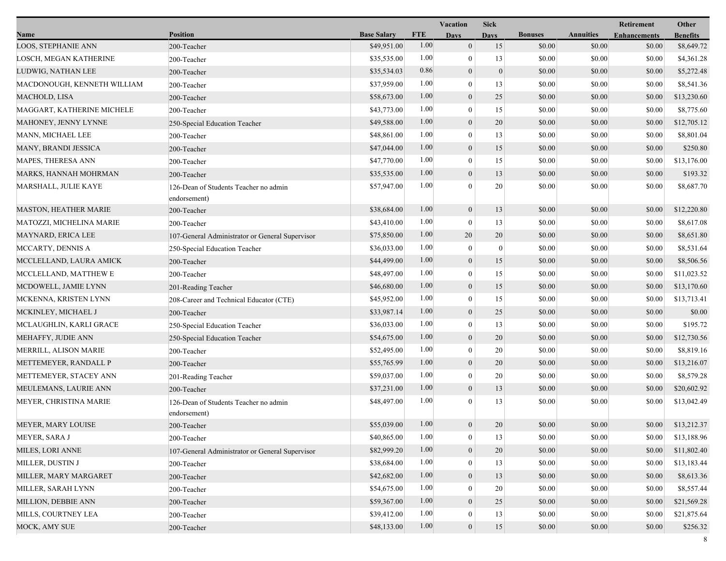|                              |                                                       |                    |            | Vacation         | <b>Sick</b>      |                |                  | Retirement          | Other           |
|------------------------------|-------------------------------------------------------|--------------------|------------|------------------|------------------|----------------|------------------|---------------------|-----------------|
| Name                         | <b>Position</b>                                       | <b>Base Salary</b> | <b>FTE</b> | Days             | <b>Days</b>      | <b>Bonuses</b> | <b>Annuities</b> | <b>Enhancements</b> | <b>Benefits</b> |
| LOOS, STEPHANIE ANN          | 200-Teacher                                           | \$49,951.00        | 1.00       | $\overline{0}$   | 15               | \$0.00         | \$0.00           | \$0.00              | \$8,649.72      |
| LOSCH, MEGAN KATHERINE       | 200-Teacher                                           | \$35,535.00        | 1.00       | $\bf{0}$         | 13               | \$0.00         | \$0.00           | \$0.00              | \$4,361.28      |
| LUDWIG, NATHAN LEE           | 200-Teacher                                           | \$35,534.03        | 0.86       | $\mathbf{0}$     | $\boldsymbol{0}$ | \$0.00         | \$0.00           | \$0.00              | \$5,272.48      |
| MACDONOUGH, KENNETH WILLIAM  | 200-Teacher                                           | \$37,959.00        | 1.00       | $\mathbf{0}$     | 13               | \$0.00         | \$0.00           | \$0.00              | \$8,541.36      |
| MACHOLD, LISA                | 200-Teacher                                           | \$58,673.00        | 1.00       | $\mathbf{0}$     | 25               | \$0.00         | \$0.00           | \$0.00              | \$13,230.60     |
| MAGGART, KATHERINE MICHELE   | 200-Teacher                                           | \$43,773.00        | 1.00       | $\bf{0}$         | 15               | \$0.00         | \$0.00           | \$0.00              | \$8,775.60      |
| MAHONEY, JENNY LYNNE         | 250-Special Education Teacher                         | \$49,588.00        | 1.00       | $\mathbf{0}$     | 20               | \$0.00         | \$0.00           | \$0.00              | \$12,705.12     |
| MANN, MICHAEL LEE            | 200-Teacher                                           | \$48,861.00        | 1.00       | $\bf{0}$         | 13               | \$0.00         | \$0.00           | \$0.00              | \$8,801.04      |
| MANY, BRANDI JESSICA         | 200-Teacher                                           | \$47,044.00        | 1.00       | $\boldsymbol{0}$ | 15               | \$0.00         | \$0.00           | \$0.00              | \$250.80        |
| MAPES, THERESA ANN           | 200-Teacher                                           | \$47,770.00        | 1.00       | $\mathbf{0}$     | 15               | \$0.00         | \$0.00           | \$0.00              | \$13,176.00     |
| MARKS, HANNAH MOHRMAN        | 200-Teacher                                           | \$35,535.00        | 1.00       | $\mathbf{0}$     | 13               | \$0.00         | \$0.00           | \$0.00              | \$193.32        |
| MARSHALL, JULIE KAYE         | 126-Dean of Students Teacher no admin<br>endorsement) | \$57,947.00        | 1.00       | $\Omega$         | 20               | \$0.00         | \$0.00           | \$0.00              | \$8,687.70      |
| <b>MASTON, HEATHER MARIE</b> | 200-Teacher                                           | \$38,684.00        | 1.00       | $\mathbf{0}$     | 13               | \$0.00         | \$0.00           | \$0.00              | \$12,220.80     |
| MATOZZI, MICHELINA MARIE     | 200-Teacher                                           | \$43,410.00        | 1.00       | $\mathbf{0}$     | 13               | \$0.00         | \$0.00           | \$0.00              | \$8,617.08      |
| MAYNARD, ERICA LEE           | 107-General Administrator or General Supervisor       | \$75,850.00        | 1.00       | 20               | 20               | \$0.00         | \$0.00           | \$0.00              | \$8,651.80      |
| MCCARTY, DENNIS A            | 250-Special Education Teacher                         | \$36,033.00        | 1.00       | $\bf{0}$         | $\boldsymbol{0}$ | \$0.00         | \$0.00           | \$0.00              | \$8,531.64      |
| MCCLELLAND, LAURA AMICK      | 200-Teacher                                           | \$44,499.00        | 1.00       | $\mathbf{0}$     | 15               | \$0.00         | \$0.00           | \$0.00              | \$8,506.56      |
| MCCLELLAND, MATTHEW E        | 200-Teacher                                           | \$48,497.00        | 1.00       | $\mathbf{0}$     | 15               | \$0.00         | \$0.00           | \$0.00              | \$11,023.52     |
| MCDOWELL, JAMIE LYNN         | 201-Reading Teacher                                   | \$46,680.00        | 1.00       | $\mathbf{0}$     | 15               | \$0.00         | \$0.00           | \$0.00              | \$13,170.60     |
| MCKENNA, KRISTEN LYNN        | 208-Career and Technical Educator (CTE)               | \$45,952.00        | 1.00       | $\mathbf{0}$     | 15               | \$0.00         | \$0.00           | \$0.00              | \$13,713.41     |
| MCKINLEY, MICHAEL J          | 200-Teacher                                           | \$33,987.14        | 1.00       | $\mathbf{0}$     | 25               | \$0.00         | \$0.00           | \$0.00              | \$0.00          |
| MCLAUGHLIN, KARLI GRACE      | 250-Special Education Teacher                         | \$36,033.00        | 1.00       | $\mathbf{0}$     | 13               | \$0.00         | \$0.00           | \$0.00              | \$195.72        |
| MEHAFFY, JUDIE ANN           | 250-Special Education Teacher                         | \$54,675.00        | 1.00       | $\mathbf{0}$     | 20               | \$0.00         | \$0.00           | \$0.00              | \$12,730.56     |
| MERRILL, ALISON MARIE        | 200-Teacher                                           | \$52,495.00        | 1.00       | $\boldsymbol{0}$ | 20               | \$0.00         | \$0.00           | \$0.00              | \$8,819.16      |
| METTEMEYER, RANDALL P        | 200-Teacher                                           | \$55,765.99        | 1.00       | $\mathbf{0}$     | 20               | \$0.00         | \$0.00           | \$0.00              | \$13,216.07     |
| METTEMEYER, STACEY ANN       | 201-Reading Teacher                                   | \$59,037.00        | 1.00       | $\mathbf{0}$     | 20               | \$0.00         | \$0.00           | \$0.00              | \$8,579.28      |
| MEULEMANS, LAURIE ANN        | 200-Teacher                                           | \$37,231.00        | 1.00       | $\boldsymbol{0}$ | 13               | \$0.00         | \$0.00           | \$0.00              | \$20,602.92     |
| MEYER, CHRISTINA MARIE       | 126-Dean of Students Teacher no admin<br>endorsement) | \$48,497.00        | 1.00       | 0                | 13               | \$0.00         | \$0.00           | \$0.00              | \$13,042.49     |
| MEYER, MARY LOUISE           | 200-Teacher                                           | \$55,039.00        | 1.00       | $\overline{0}$   | 20               | \$0.00         | \$0.00           | \$0.00              | \$13,212.37     |
| MEYER, SARA J                | 200-Teacher                                           | \$40,865.00        | 1.00       | $\boldsymbol{0}$ | 13               | \$0.00         | \$0.00           | \$0.00              | \$13,188.96     |
| MILES, LORI ANNE             | 107-General Administrator or General Supervisor       | \$82,999.20        | 1.00       | $\boldsymbol{0}$ | $20\,$           | \$0.00         | \$0.00           | \$0.00              | \$11,802.40     |
| MILLER, DUSTIN J             | 200-Teacher                                           | \$38,684.00        | 1.00       | $\mathbf{0}$     | 13               | \$0.00         | \$0.00           | \$0.00              | \$13,183.44     |
| MILLER, MARY MARGARET        | 200-Teacher                                           | \$42,682.00        | 1.00       | $\mathbf{0}$     | 13               | \$0.00         | \$0.00           | \$0.00              | \$8,613.36      |
| MILLER, SARAH LYNN           | 200-Teacher                                           | \$54,675.00        | 1.00       | $\mathbf{0}$     | $20\,$           | \$0.00         | \$0.00           | \$0.00              | \$8,557.44      |
| MILLION, DEBBIE ANN          | 200-Teacher                                           | \$59,367.00        | 1.00       | $\mathbf{0}$     | 25               | \$0.00         | \$0.00           | \$0.00              | \$21,569.28     |
| MILLS, COURTNEY LEA          | 200-Teacher                                           | \$39,412.00        | 1.00       | 0                | 13               | \$0.00         | \$0.00           | \$0.00              | \$21,875.64     |
| MOCK, AMY SUE                | 200-Teacher                                           | \$48,133.00        | 1.00       | $\mathbf{0}$     | 15               | \$0.00         | \$0.00           | \$0.00              | \$256.32        |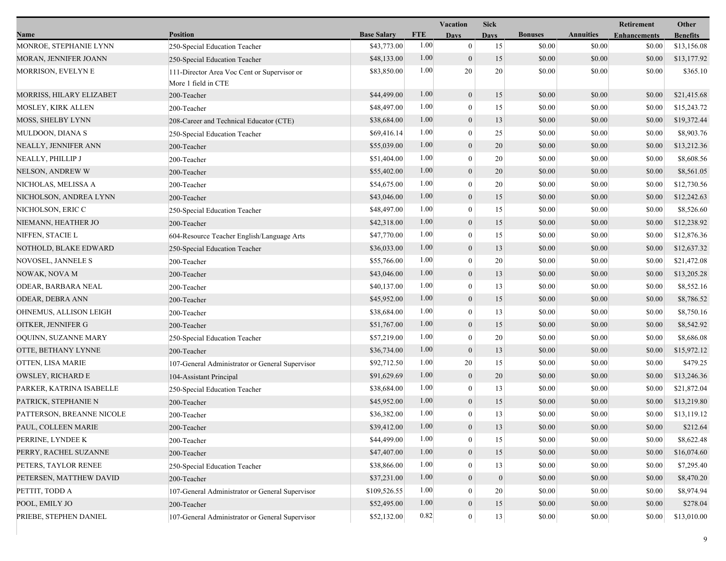|                           |                                                                    |                    |            | <b>Vacation</b>  | <b>Sick</b>      |                |                  | Retirement          | Other           |
|---------------------------|--------------------------------------------------------------------|--------------------|------------|------------------|------------------|----------------|------------------|---------------------|-----------------|
| Name                      | <b>Position</b>                                                    | <b>Base Salary</b> | <b>FTE</b> | <b>Days</b>      | Davs             | <b>Bonuses</b> | <b>Annuities</b> | <b>Enhancements</b> | <b>Benefits</b> |
| MONROE, STEPHANIE LYNN    | 250-Special Education Teacher                                      | \$43,773.00        | 1.00       | $\mathbf{0}$     | 15               | \$0.00         | \$0.00           | \$0.00              | \$13,156.08     |
| MORAN, JENNIFER JOANN     | 250-Special Education Teacher                                      | \$48,133.00        | 1.00       | $\mathbf{0}$     | 15               | \$0.00         | \$0.00           | \$0.00              | \$13,177.92     |
| MORRISON, EVELYN E        | 111-Director Area Voc Cent or Supervisor or<br>More 1 field in CTE | \$83,850.00        | 1.00       | 20               | 20               | \$0.00         | \$0.00           | \$0.00              | \$365.10        |
| MORRISS, HILARY ELIZABET  | 200-Teacher                                                        | \$44,499.00        | 1.00       | $\boldsymbol{0}$ | 15               | \$0.00         | \$0.00           | \$0.00              | \$21,415.68     |
| MOSLEY, KIRK ALLEN        | 200-Teacher                                                        | \$48,497.00        | 1.00       | $\bf{0}$         | 15               | \$0.00         | \$0.00           | \$0.00              | \$15,243.72     |
| MOSS, SHELBY LYNN         | 208-Career and Technical Educator (CTE)                            | \$38,684.00        | 1.00       | $\boldsymbol{0}$ | 13               | \$0.00         | \$0.00           | \$0.00              | \$19,372.44     |
| MULDOON, DIANA S          | 250-Special Education Teacher                                      | \$69,416.14        | 1.00       | $\mathbf{0}$     | 25               | \$0.00         | \$0.00           | \$0.00              | \$8,903.76      |
| NEALLY, JENNIFER ANN      | 200-Teacher                                                        | \$55,039.00        | 1.00       | $\mathbf{0}$     | 20               | \$0.00         | \$0.00           | \$0.00              | \$13,212.36     |
| NEALLY, PHILLIP J         | 200-Teacher                                                        | \$51,404.00        | 1.00       | $\mathbf{0}$     | 20               | \$0.00         | \$0.00           | \$0.00              | \$8,608.56      |
| NELSON, ANDREW W          | 200-Teacher                                                        | \$55,402.00        | 1.00       | $\boldsymbol{0}$ | 20               | \$0.00         | \$0.00           | \$0.00              | \$8,561.05      |
| NICHOLAS, MELISSA A       | 200-Teacher                                                        | \$54,675.00        | 1.00       | $\theta$         | 20               | \$0.00         | \$0.00           | \$0.00              | \$12,730.56     |
| NICHOLSON, ANDREA LYNN    | 200-Teacher                                                        | \$43,046.00        | 1.00       | $\mathbf{0}$     | 15               | \$0.00         | \$0.00           | \$0.00              | \$12,242.63     |
| NICHOLSON, ERIC C         | 250-Special Education Teacher                                      | \$48,497.00        | 1.00       | $\mathbf{0}$     | 15               | \$0.00         | \$0.00           | \$0.00              | \$8,526.60      |
| NIEMANN, HEATHER JO       | 200-Teacher                                                        | \$42,318.00        | 1.00       | $\boldsymbol{0}$ | 15               | \$0.00         | \$0.00           | \$0.00              | \$12,238.92     |
| NIFFEN, STACIE L          | 604-Resource Teacher English/Language Arts                         | \$47,770.00        | 1.00       | $\mathbf{0}$     | 15               | \$0.00         | \$0.00           | \$0.00              | \$12,876.36     |
| NOTHOLD, BLAKE EDWARD     | 250-Special Education Teacher                                      | \$36,033.00        | 1.00       | $\boldsymbol{0}$ | 13               | \$0.00         | \$0.00           | \$0.00              | \$12,637.32     |
| NOVOSEL, JANNELE S        | 200-Teacher                                                        | \$55,766.00        | 1.00       | $\mathbf{0}$     | 20               | \$0.00         | \$0.00           | \$0.00              | \$21,472.08     |
| NOWAK, NOVA M             | 200-Teacher                                                        | \$43,046.00        | 1.00       | $\boldsymbol{0}$ | 13               | \$0.00         | \$0.00           | \$0.00              | \$13,205.28     |
| ODEAR, BARBARA NEAL       | 200-Teacher                                                        | \$40,137.00        | 1.00       | $\boldsymbol{0}$ | 13               | \$0.00         | \$0.00           | \$0.00              | \$8,552.16      |
| <b>ODEAR, DEBRA ANN</b>   | 200-Teacher                                                        | \$45,952.00        | 1.00       | $\mathbf{0}$     | 15               | \$0.00         | \$0.00           | \$0.00              | \$8,786.52      |
| OHNEMUS, ALLISON LEIGH    | 200-Teacher                                                        | \$38,684.00        | 1.00       | $\bf{0}$         | 13               | \$0.00         | \$0.00           | \$0.00              | \$8,750.16      |
| OITKER, JENNIFER G        | 200-Teacher                                                        | \$51,767.00        | 1.00       | $\boldsymbol{0}$ | 15               | \$0.00         | \$0.00           | \$0.00              | \$8,542.92      |
| OQUINN, SUZANNE MARY      | 250-Special Education Teacher                                      | \$57,219.00        | 1.00       | $\mathbf{0}$     | 20               | \$0.00         | \$0.00           | \$0.00              | \$8,686.08      |
| OTTE, BETHANY LYNNE       | 200-Teacher                                                        | \$36,734.00        | 1.00       | $\boldsymbol{0}$ | 13               | \$0.00         | \$0.00           | \$0.00              | \$15,972.12     |
| OTTEN, LISA MARIE         | 107-General Administrator or General Supervisor                    | \$92,712.50        | 1.00       | 20               | 15               | \$0.00         | \$0.00           | \$0.00              | \$479.25        |
| <b>OWSLEY, RICHARD E</b>  | 104-Assistant Principal                                            | \$91,629.69        | 1.00       | $\mathbf{0}$     | 20               | \$0.00         | \$0.00           | \$0.00              | \$13,246.36     |
| PARKER, KATRINA ISABELLE  | 250-Special Education Teacher                                      | \$38,684.00        | 1.00       | $\bf{0}$         | 13               | \$0.00         | \$0.00           | \$0.00              | \$21,872.04     |
| PATRICK, STEPHANIE N      | 200-Teacher                                                        | \$45,952.00        | 1.00       | $\boldsymbol{0}$ | 15               | \$0.00         | \$0.00           | \$0.00              | \$13,219.80     |
| PATTERSON, BREANNE NICOLE | 200-Teacher                                                        | \$36,382.00        | 1.00       | $\mathbf{0}$     | 13               | \$0.00         | \$0.00           | \$0.00              | \$13,119.12     |
| PAUL, COLLEEN MARIE       | 200-Teacher                                                        | \$39,412.00        | 1.00       | $\mathbf{0}$     | 13               | \$0.00         | \$0.00           | \$0.00              | \$212.64        |
| PERRINE, LYNDEE K         | 200-Teacher                                                        | \$44,499.00        | 1.00       | $\boldsymbol{0}$ | 15               | \$0.00         | \$0.00           | \$0.00              | \$8,622.48      |
| PERRY, RACHEL SUZANNE     | 200-Teacher                                                        | \$47,407.00        | 1.00       | $\mathbf{0}$     | 15               | \$0.00         | \$0.00           | \$0.00              | \$16,074.60     |
| PETERS, TAYLOR RENEE      | 250-Special Education Teacher                                      | \$38,866.00        | 1.00       | $\theta$         | 13               | \$0.00         | \$0.00           | \$0.00              | \$7,295.40      |
| PETERSEN, MATTHEW DAVID   | 200-Teacher                                                        | \$37,231.00        | 1.00       | $\boldsymbol{0}$ | $\boldsymbol{0}$ | \$0.00         | \$0.00           | \$0.00              | \$8,470.20      |
| PETTIT, TODD A            | 107-General Administrator or General Supervisor                    | \$109,526.55       | 1.00       | $\theta$         | 20               | \$0.00         | \$0.00           | \$0.00              | \$8,974.94      |
| POOL, EMILY JO            | 200-Teacher                                                        | \$52,495.00        | 1.00       | $\mathbf{0}$     | 15               | \$0.00         | \$0.00           | \$0.00              | \$278.04        |
| PRIEBE, STEPHEN DANIEL    | 107-General Administrator or General Supervisor                    | \$52,132.00        | 0.82       | $\boldsymbol{0}$ | $13\,$           | \$0.00         | \$0.00           | \$0.00              | \$13,010.00     |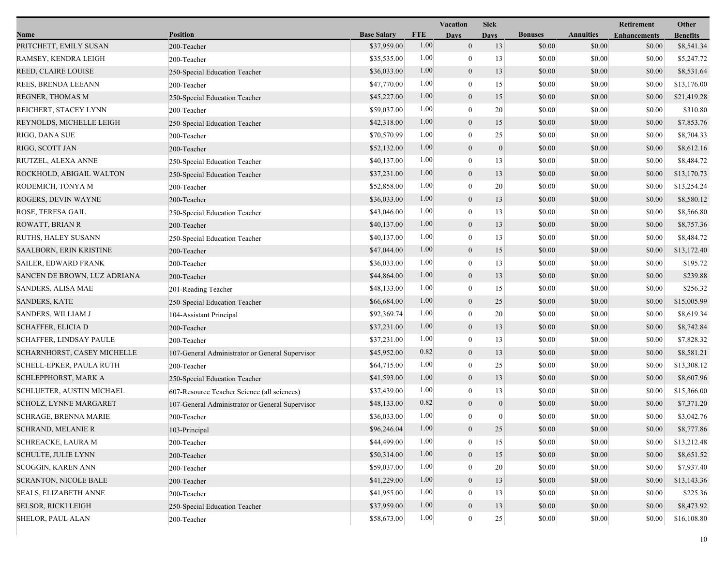|                                |                                                 |                    |            | <b>Vacation</b>  | <b>Sick</b>      |                |                  | Retirement          | Other           |
|--------------------------------|-------------------------------------------------|--------------------|------------|------------------|------------------|----------------|------------------|---------------------|-----------------|
| Name                           | <b>Position</b>                                 | <b>Base Salary</b> | <b>FTE</b> | Days             | <b>Days</b>      | <b>Bonuses</b> | <b>Annuities</b> | <b>Enhancements</b> | <b>Benefits</b> |
| PRITCHETT, EMILY SUSAN         | 200-Teacher                                     | \$37,959.00        | 1.00       | $\mathbf{0}$     | 13               | \$0.00         | \$0.00           | \$0.00              | \$8,541.34      |
| RAMSEY, KENDRA LEIGH           | 200-Teacher                                     | \$35,535.00        | 1.00       | $\boldsymbol{0}$ | 13               | \$0.00         | \$0.00           | \$0.00              | \$5,247.72      |
| REED, CLAIRE LOUISE            | 250-Special Education Teacher                   | \$36,033.00        | 1.00       | $\boldsymbol{0}$ | 13               | \$0.00         | \$0.00           | \$0.00              | \$8,531.64      |
| REES, BRENDA LEEANN            | 200-Teacher                                     | \$47,770.00        | 1.00       | $\mathbf{0}$     | 15               | \$0.00         | \$0.00           | \$0.00              | \$13,176.00     |
| REGNER, THOMAS M               | 250-Special Education Teacher                   | \$45,227.00        | 1.00       | $\boldsymbol{0}$ | 15               | \$0.00         | \$0.00           | \$0.00              | \$21,419.28     |
| REICHERT, STACEY LYNN          | 200-Teacher                                     | \$59,037.00        | 1.00       | $\boldsymbol{0}$ | 20               | \$0.00         | \$0.00           | \$0.00              | \$310.80        |
| REYNOLDS, MICHELLE LEIGH       | 250-Special Education Teacher                   | \$42,318.00        | 1.00       | $\boldsymbol{0}$ | 15               | \$0.00         | \$0.00           | \$0.00              | \$7,853.76      |
| RIGG, DANA SUE                 | 200-Teacher                                     | \$70,570.99        | 1.00       | $\boldsymbol{0}$ | 25               | \$0.00         | \$0.00           | \$0.00              | \$8,704.33      |
| RIGG, SCOTT JAN                | 200-Teacher                                     | \$52,132.00        | 1.00       | $\boldsymbol{0}$ | $\mathbf{0}$     | \$0.00         | \$0.00           | \$0.00              | \$8,612.16      |
| RIUTZEL, ALEXA ANNE            | 250-Special Education Teacher                   | \$40,137.00        | 1.00       | $\mathbf{0}$     | 13               | \$0.00         | \$0.00           | \$0.00              | \$8,484.72      |
| ROCKHOLD, ABIGAIL WALTON       | 250-Special Education Teacher                   | \$37,231.00        | 1.00       | $\boldsymbol{0}$ | 13               | \$0.00         | \$0.00           | \$0.00              | \$13,170.73     |
| RODEMICH, TONYA M              | 200-Teacher                                     | \$52,858.00        | 1.00       | $\mathbf{0}$     | 20               | \$0.00         | \$0.00           | \$0.00              | \$13,254.24     |
| ROGERS, DEVIN WAYNE            | 200-Teacher                                     | \$36,033.00        | 1.00       | $\mathbf{0}$     | 13               | \$0.00         | \$0.00           | \$0.00              | \$8,580.12      |
| ROSE, TERESA GAIL              | 250-Special Education Teacher                   | \$43,046.00        | 1.00       | $\boldsymbol{0}$ | 13               | \$0.00         | \$0.00           | \$0.00              | \$8,566.80      |
| ROWATT, BRIAN R                | 200-Teacher                                     | \$40,137.00        | 1.00       | $\boldsymbol{0}$ | 13               | \$0.00         | \$0.00           | \$0.00              | \$8,757.36      |
| RUTHS, HALEY SUSANN            | 250-Special Education Teacher                   | \$40,137.00        | 1.00       | $\boldsymbol{0}$ | 13               | \$0.00         | \$0.00           | \$0.00              | \$8,484.72      |
| SAALBORN, ERIN KRISTINE        | 200-Teacher                                     | \$47,044.00        | 1.00       | $\boldsymbol{0}$ | 15               | \$0.00         | \$0.00           | \$0.00              | \$13,172.40     |
| <b>SAILER, EDWARD FRANK</b>    | 200-Teacher                                     | \$36,033.00        | 1.00       | $\mathbf{0}$     | 13               | \$0.00         | \$0.00           | \$0.00              | \$195.72        |
| SANCEN DE BROWN, LUZ ADRIANA   | 200-Teacher                                     | \$44,864.00        | 1.00       | $\boldsymbol{0}$ | 13               | \$0.00         | \$0.00           | \$0.00              | \$239.88        |
| SANDERS, ALISA MAE             | 201-Reading Teacher                             | \$48,133.00        | 1.00       | $\mathbf{0}$     | 15               | \$0.00         | \$0.00           | \$0.00              | \$256.32        |
| <b>SANDERS, KATE</b>           | 250-Special Education Teacher                   | \$66,684.00        | 1.00       | $\mathbf{0}$     | 25               | \$0.00         | \$0.00           | \$0.00              | \$15,005.99     |
| SANDERS, WILLIAM J             | 104-Assistant Principal                         | \$92,369.74        | 1.00       | $\boldsymbol{0}$ | 20               | \$0.00         | \$0.00           | \$0.00              | \$8,619.34      |
| SCHAFFER, ELICIA D             | 200-Teacher                                     | \$37,231.00        | 1.00       | $\boldsymbol{0}$ | 13               | \$0.00         | \$0.00           | \$0.00              | \$8,742.84      |
| <b>SCHAFFER, LINDSAY PAULE</b> | 200-Teacher                                     | \$37,231.00        | 1.00       | $\boldsymbol{0}$ | 13               | \$0.00         | \$0.00           | \$0.00              | \$7,828.32      |
| SCHARNHORST, CASEY MICHELLE    | 107-General Administrator or General Supervisor | \$45,952.00        | 0.82       | $\boldsymbol{0}$ | 13               | \$0.00         | \$0.00           | \$0.00              | \$8,581.21      |
| SCHELL-EPKER, PAULA RUTH       | 200-Teacher                                     | \$64,715.00        | 1.00       | $\mathbf{0}$     | 25               | \$0.00         | \$0.00           | \$0.00              | \$13,308.12     |
| SCHLEPPHORST, MARK A           | 250-Special Education Teacher                   | \$41,593.00        | 1.00       | $\boldsymbol{0}$ | 13               | \$0.00         | \$0.00           | \$0.00              | \$8,607.96      |
| SCHLUETER, AUSTIN MICHAEL      | 607-Resource Teacher Science (all sciences)     | \$37,439.00        | 1.00       | $\boldsymbol{0}$ | 13               | \$0.00         | \$0.00           | \$0.00              | \$15,366.00     |
| SCHOLZ, LYNNE MARGARET         | 107-General Administrator or General Supervisor | \$48,133.00        | 0.82       | $\boldsymbol{0}$ | $\boldsymbol{0}$ | \$0.00         | \$0.00           | \$0.00              | \$7,371.20      |
| <b>SCHRAGE, BRENNA MARIE</b>   | 200-Teacher                                     | \$36,033.00        | 1.00       | $\boldsymbol{0}$ | $\mathbf{0}$     | \$0.00         | \$0.00           | \$0.00              | \$3,042.76      |
| <b>SCHRAND, MELANIE R</b>      | 103-Principal                                   | \$96,246.04        | 1.00       | $\mathbf{0}$     | 25               | \$0.00         | \$0.00           | \$0.00              | \$8,777.86      |
| SCHREACKE, LAURA M             | 200-Teacher                                     | \$44,499.00        | 1.00       | $\mathbf{0}$     | 15               | \$0.00         | \$0.00           | \$0.00              | \$13,212.48     |
| <b>SCHULTE, JULIE LYNN</b>     | 200-Teacher                                     | \$50,314.00        | 1.00       | $\boldsymbol{0}$ | 15               | \$0.00         | \$0.00           | \$0.00              | \$8,651.52      |
| <b>SCOGGIN, KAREN ANN</b>      | 200-Teacher                                     | \$59,037.00        | 1.00       | $\boldsymbol{0}$ | 20               | \$0.00         | \$0.00           | \$0.00              | \$7,937.40      |
| <b>SCRANTON, NICOLE BALE</b>   | 200-Teacher                                     | \$41,229.00        | 1.00       | $\mathbf{0}$     | 13               | \$0.00         | \$0.00           | \$0.00              | \$13,143.36     |
| <b>SEALS, ELIZABETH ANNE</b>   | 200-Teacher                                     | \$41,955.00        | 1.00       | $\mathbf{0}$     | 13               | \$0.00         | \$0.00           | \$0.00              | \$225.36        |
| SELSOR, RICKI LEIGH            | 250-Special Education Teacher                   | \$37,959.00        | 1.00       | $\boldsymbol{0}$ | 13               | \$0.00         | \$0.00           | \$0.00              | \$8,473.92      |
| SHELOR, PAUL ALAN              | 200-Teacher                                     | \$58,673.00        | 1.00       | $\boldsymbol{0}$ | 25               | \$0.00         | \$0.00           | \$0.00              | \$16,108.80     |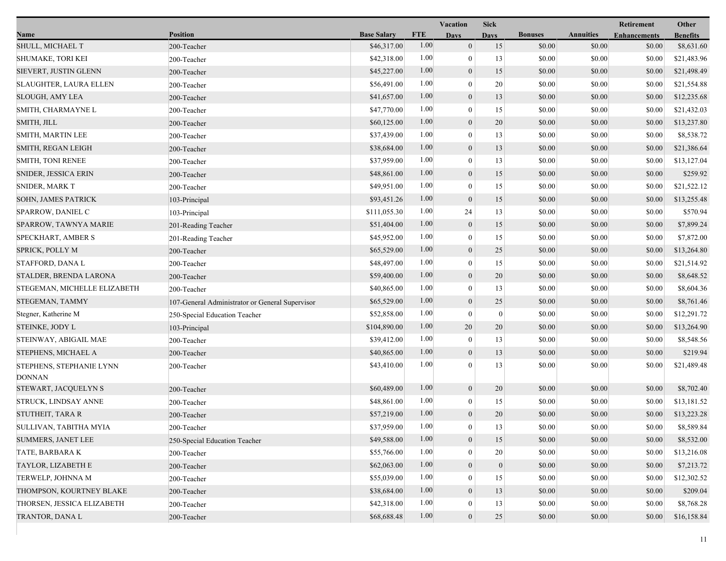|                                           |                                                 |                    |            | Vacation         | <b>Sick</b>      |                |                  | Retirement          | Other           |
|-------------------------------------------|-------------------------------------------------|--------------------|------------|------------------|------------------|----------------|------------------|---------------------|-----------------|
| Name                                      | <b>Position</b>                                 | <b>Base Salary</b> | <b>FTE</b> | <b>Days</b>      | <b>Days</b>      | <b>Bonuses</b> | <b>Annuities</b> | <b>Enhancements</b> | <b>Benefits</b> |
| SHULL, MICHAEL T                          | 200-Teacher                                     | \$46,317.00        | 1.00       | $\mathbf{0}$     | 15               | \$0.00         | \$0.00           | \$0.00              | \$8,631.60      |
| <b>SHUMAKE, TORI KEI</b>                  | 200-Teacher                                     | \$42,318.00        | 1.00       | $\boldsymbol{0}$ | 13               | \$0.00         | \$0.00           | \$0.00              | \$21,483.96     |
| SIEVERT, JUSTIN GLENN                     | 200-Teacher                                     | \$45,227.00        | 1.00       | $\boldsymbol{0}$ | 15               | \$0.00         | \$0.00           | \$0.00              | \$21,498.49     |
| SLAUGHTER, LAURA ELLEN                    | 200-Teacher                                     | \$56,491.00        | 1.00       | $\mathbf{0}$     | 20               | \$0.00         | \$0.00           | \$0.00              | \$21,554.88     |
| <b>SLOUGH, AMY LEA</b>                    | 200-Teacher                                     | \$41,657.00        | 1.00       | $\boldsymbol{0}$ | 13               | \$0.00         | \$0.00           | \$0.00              | \$12,235.68     |
| SMITH, CHARMAYNE L                        | 200-Teacher                                     | \$47,770.00        | 1.00       | $\boldsymbol{0}$ | 15               | \$0.00         | \$0.00           | \$0.00              | \$21,432.03     |
| SMITH, JILL                               | 200-Teacher                                     | \$60,125.00        | 1.00       | $\mathbf{0}$     | 20               | \$0.00         | \$0.00           | \$0.00              | \$13,237.80     |
| SMITH, MARTIN LEE                         | 200-Teacher                                     | \$37,439.00        | 1.00       | $\bf{0}$         | 13               | \$0.00         | \$0.00           | \$0.00              | \$8,538.72      |
| SMITH, REGAN LEIGH                        | 200-Teacher                                     | \$38,684.00        | 1.00       | $\boldsymbol{0}$ | 13               | \$0.00         | \$0.00           | \$0.00              | \$21,386.64     |
| SMITH, TONI RENEE                         | 200-Teacher                                     | \$37,959.00        | 1.00       | $\mathbf{0}$     | 13               | \$0.00         | \$0.00           | \$0.00              | \$13,127.04     |
| SNIDER, JESSICA ERIN                      | 200-Teacher                                     | \$48,861.00        | 1.00       | $\boldsymbol{0}$ | 15               | \$0.00         | \$0.00           | \$0.00              | \$259.92        |
| <b>SNIDER, MARK T</b>                     | 200-Teacher                                     | \$49,951.00        | 1.00       | $\boldsymbol{0}$ | 15               | \$0.00         | \$0.00           | \$0.00              | \$21,522.12     |
| SOHN, JAMES PATRICK                       | 103-Principal                                   | \$93,451.26        | 1.00       | $\mathbf{0}$     | 15               | \$0.00         | \$0.00           | \$0.00              | \$13,255.48     |
| SPARROW, DANIEL C                         | 103-Principal                                   | \$111,055.30       | 1.00       | 24               | 13               | \$0.00         | \$0.00           | \$0.00              | \$570.94        |
| SPARROW, TAWNYA MARIE                     | 201-Reading Teacher                             | \$51,404.00        | 1.00       | $\mathbf{0}$     | 15               | \$0.00         | \$0.00           | \$0.00              | \$7,899.24      |
| SPECKHART, AMBER S                        | 201-Reading Teacher                             | \$45,952.00        | 1.00       | $\mathbf{0}$     | 15               | \$0.00         | \$0.00           | \$0.00              | \$7,872.00      |
| SPRICK, POLLY M                           | 200-Teacher                                     | \$65,529.00        | 1.00       | $\boldsymbol{0}$ | 25               | \$0.00         | \$0.00           | \$0.00              | \$13,264.80     |
| STAFFORD, DANA L                          | 200-Teacher                                     | \$48,497.00        | 1.00       | $\boldsymbol{0}$ | 15               | \$0.00         | \$0.00           | \$0.00              | \$21,514.92     |
| STALDER, BRENDA LARONA                    | 200-Teacher                                     | \$59,400.00        | 1.00       | $\mathbf{0}$     | 20               | \$0.00         | \$0.00           | \$0.00              | \$8,648.52      |
| STEGEMAN, MICHELLE ELIZABETH              | 200-Teacher                                     | \$40,865.00        | 1.00       | $\bf{0}$         | 13               | \$0.00         | \$0.00           | \$0.00              | \$8,604.36      |
| STEGEMAN, TAMMY                           | 107-General Administrator or General Supervisor | \$65,529.00        | 1.00       | $\boldsymbol{0}$ | 25               | \$0.00         | \$0.00           | \$0.00              | \$8,761.46      |
| Stegner, Katherine M                      | 250-Special Education Teacher                   | \$52,858.00        | 1.00       | $\mathbf{0}$     | $\boldsymbol{0}$ | \$0.00         | \$0.00           | \$0.00              | \$12,291.72     |
| STEINKE, JODY L                           | 103-Principal                                   | \$104,890.00       | 1.00       | 20               | 20               | \$0.00         | \$0.00           | \$0.00              | \$13,264.90     |
| STEINWAY, ABIGAIL MAE                     | 200-Teacher                                     | \$39,412.00        | 1.00       | $\boldsymbol{0}$ | 13               | \$0.00         | \$0.00           | \$0.00              | \$8,548.56      |
| STEPHENS, MICHAEL A                       | 200-Teacher                                     | \$40,865.00        | 1.00       | $\mathbf{0}$     | 13               | \$0.00         | \$0.00           | \$0.00              | \$219.94        |
| STEPHENS, STEPHANIE LYNN<br><b>DONNAN</b> | 200-Teacher                                     | \$43,410.00        | 1.00       | $\theta$         | 13               | \$0.00         | \$0.00           | \$0.00              | \$21,489.48     |
| STEWART, JACQUELYN S                      | 200-Teacher                                     | \$60,489.00        | 1.00       | $\mathbf{0}$     | 20               | \$0.00         | \$0.00           | \$0.00              | \$8,702.40      |
| STRUCK, LINDSAY ANNE                      | 200-Teacher                                     | \$48,861.00        | 1.00       | $\boldsymbol{0}$ | 15               | \$0.00         | \$0.00           | \$0.00              | \$13,181.52     |
| STUTHEIT, TARA R                          | 200-Teacher                                     | \$57,219.00        | 1.00       | $\mathbf{0}$     | 20               | \$0.00         | \$0.00           | \$0.00              | \$13,223.28     |
| SULLIVAN, TABITHA MYIA                    | 200-Teacher                                     | \$37,959.00        | 1.00       | $\boldsymbol{0}$ | 13               | $\$0.00$       | \$0.00           | $\$0.00$            | \$8,589.84      |
| SUMMERS, JANET LEE                        | 250-Special Education Teacher                   | \$49,588.00        | 1.00       | $\overline{0}$   | 15               | \$0.00         | \$0.00           | \$0.00              | \$8,532.00      |
| TATE, BARBARA K                           | 200-Teacher                                     | \$55,766.00        | 1.00       | $\theta$         | 20               | \$0.00         | \$0.00           | \$0.00              | \$13,216.08     |
| TAYLOR, LIZABETH E                        | 200-Teacher                                     | \$62,063.00        | 1.00       | $\mathbf{0}$     | $\boldsymbol{0}$ | \$0.00         | \$0.00           | \$0.00              | \$7,213.72      |
| TERWELP, JOHNNA M                         | 200-Teacher                                     | \$55,039.00        | 1.00       | 0                | 15               | \$0.00         | \$0.00           | \$0.00              | \$12,302.52     |
| THOMPSON, KOURTNEY BLAKE                  | 200-Teacher                                     | \$38,684.00        | 1.00       | $\mathbf{0}$     | 13               | \$0.00         | \$0.00           | \$0.00              | \$209.04        |
| THORSEN, JESSICA ELIZABETH                | 200-Teacher                                     | \$42,318.00        | 1.00       | 0                | 13               | \$0.00         | \$0.00           | \$0.00              | \$8,768.28      |
| TRANTOR, DANA L                           | 200-Teacher                                     | \$68,688.48        | 1.00       | $\mathbf{0}$     | 25               | \$0.00         | \$0.00           | \$0.00              | \$16,158.84     |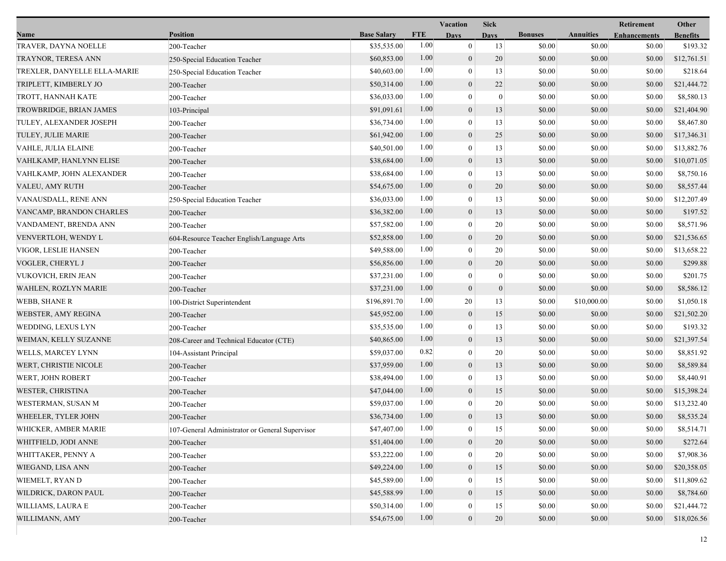|                              |                                                 |                    |            | <b>Vacation</b>  | <b>Sick</b>      |                |                  | Retirement          | Other           |
|------------------------------|-------------------------------------------------|--------------------|------------|------------------|------------------|----------------|------------------|---------------------|-----------------|
| Name                         | <b>Position</b>                                 | <b>Base Salary</b> | <b>FTE</b> | <b>Days</b>      | <b>Days</b>      | <b>Bonuses</b> | <b>Annuities</b> | <b>Enhancements</b> | <b>Benefits</b> |
| TRAVER, DAYNA NOELLE         | 200-Teacher                                     | \$35,535.00        | 1.00       | $\overline{0}$   | 13               | \$0.00         | \$0.00           | \$0.00              | \$193.32        |
| TRAYNOR, TERESA ANN          | 250-Special Education Teacher                   | \$60,853.00        | 1.00       | $\mathbf{0}$     | 20               | \$0.00         | \$0.00           | \$0.00              | \$12,761.51     |
| TREXLER, DANYELLE ELLA-MARIE | 250-Special Education Teacher                   | \$40,603.00        | 1.00       | $\mathbf{0}$     | 13               | \$0.00         | \$0.00           | \$0.00              | \$218.64        |
| TRIPLETT, KIMBERLY JO        | 200-Teacher                                     | \$50,314.00        | 1.00       | $\mathbf{0}$     | 22               | \$0.00         | \$0.00           | \$0.00              | \$21,444.72     |
| TROTT, HANNAH KATE           | 200-Teacher                                     | \$36,033.00        | 1.00       | $\mathbf{0}$     | $\boldsymbol{0}$ | \$0.00         | \$0.00           | \$0.00              | \$8,580.13      |
| TROWBRIDGE, BRIAN JAMES      | 103-Principal                                   | \$91,091.61        | 1.00       | $\mathbf{0}$     | 13               | \$0.00         | \$0.00           | \$0.00              | \$21,404.90     |
| TULEY, ALEXANDER JOSEPH      | 200-Teacher                                     | \$36,734.00        | 1.00       | $\theta$         | 13               | \$0.00         | \$0.00           | \$0.00              | \$8,467.80      |
| TULEY, JULIE MARIE           | 200-Teacher                                     | \$61,942.00        | 1.00       | $\mathbf{0}$     | 25               | \$0.00         | \$0.00           | \$0.00              | \$17,346.31     |
| <b>VAHLE, JULIA ELAINE</b>   | 200-Teacher                                     | \$40,501.00        | 1.00       | $\mathbf{0}$     | 13               | \$0.00         | \$0.00           | \$0.00              | \$13,882.76     |
| VAHLKAMP, HANLYNN ELISE      | 200-Teacher                                     | \$38,684.00        | 1.00       | $\mathbf{0}$     | 13               | \$0.00         | \$0.00           | \$0.00              | \$10,071.05     |
| VAHLKAMP, JOHN ALEXANDER     | 200-Teacher                                     | \$38,684.00        | 1.00       | $\mathbf{0}$     | 13               | \$0.00         | \$0.00           | \$0.00              | \$8,750.16      |
| VALEU, AMY RUTH              | 200-Teacher                                     | \$54,675.00        | 1.00       | $\mathbf{0}$     | 20               | \$0.00         | \$0.00           | \$0.00              | \$8,557.44      |
| VANAUSDALL, RENE ANN         | 250-Special Education Teacher                   | \$36,033.00        | 1.00       | $\mathbf{0}$     | 13               | \$0.00         | \$0.00           | \$0.00              | \$12,207.49     |
| VANCAMP, BRANDON CHARLES     | 200-Teacher                                     | \$36,382.00        | 1.00       | $\mathbf{0}$     | 13               | \$0.00         | \$0.00           | \$0.00              | \$197.52        |
| VANDAMENT, BRENDA ANN        | 200-Teacher                                     | \$57,582.00        | 1.00       | $\mathbf{0}$     | 20               | \$0.00         | \$0.00           | \$0.00              | \$8,571.96      |
| VENVERTLOH, WENDY L          | 604-Resource Teacher English/Language Arts      | \$52,858.00        | 1.00       | $\mathbf{0}$     | 20               | \$0.00         | \$0.00           | \$0.00              | \$21,536.65     |
| VIGOR, LESLIE HANSEN         | 200-Teacher                                     | \$49,588.00        | 1.00       | $\mathbf{0}$     | 20               | \$0.00         | \$0.00           | \$0.00              | \$13,658.22     |
| VOGLER, CHERYL J             | 200-Teacher                                     | \$56,856.00        | 1.00       | $\mathbf{0}$     | 20               | \$0.00         | \$0.00           | \$0.00              | \$299.88        |
| VUKOVICH, ERIN JEAN          | 200-Teacher                                     | \$37,231.00        | 1.00       | $\mathbf{0}$     | $\bf{0}$         | \$0.00         | \$0.00           | \$0.00              | \$201.75        |
| WAHLEN, ROZLYN MARIE         | 200-Teacher                                     | \$37,231.00        | 1.00       | $\mathbf{0}$     | $\vert 0 \vert$  | \$0.00         | \$0.00           | \$0.00              | \$8,586.12      |
| <b>WEBB, SHANE R</b>         | 100-District Superintendent                     | \$196,891.70       | 1.00       | 20               | 13               | \$0.00         | \$10,000.00      | \$0.00              | \$1,050.18      |
| WEBSTER, AMY REGINA          | 200-Teacher                                     | \$45,952.00        | 1.00       | $\boldsymbol{0}$ | 15               | \$0.00         | \$0.00           | \$0.00              | \$21,502.20     |
| WEDDING, LEXUS LYN           | 200-Teacher                                     | \$35,535.00        | 1.00       | $\mathbf{0}$     | 13               | \$0.00         | \$0.00           | \$0.00              | \$193.32        |
| WEIMAN, KELLY SUZANNE        | 208-Career and Technical Educator (CTE)         | \$40,865.00        | 1.00       | $\mathbf{0}$     | 13               | \$0.00         | \$0.00           | \$0.00              | \$21,397.54     |
| WELLS, MARCEY LYNN           | 104-Assistant Principal                         | \$59,037.00        | 0.82       | $\mathbf{0}$     | 20               | \$0.00         | \$0.00           | \$0.00              | \$8,851.92      |
| WERT, CHRISTIE NICOLE        | 200-Teacher                                     | \$37,959.00        | 1.00       | $\mathbf{0}$     | 13               | \$0.00         | \$0.00           | \$0.00              | \$8,589.84      |
| WERT, JOHN ROBERT            | 200-Teacher                                     | \$38,494.00        | 1.00       | $\mathbf{0}$     | 13               | \$0.00         | \$0.00           | \$0.00              | \$8,440.91      |
| WESTER, CHRISTINA            | 200-Teacher                                     | \$47,044.00        | 1.00       | $\mathbf{0}$     | 15               | \$0.00         | \$0.00           | \$0.00              | \$15,398.24     |
| WESTERMAN, SUSAN M           | 200-Teacher                                     | \$59,037.00        | 1.00       | $\mathbf{0}$     | 20               | \$0.00         | \$0.00           | \$0.00              | \$13,232.40     |
| WHEELER, TYLER JOHN          | 200-Teacher                                     | \$36,734.00        | 1.00       | $\mathbf{0}$     | 13               | \$0.00         | \$0.00           | \$0.00              | \$8,535.24      |
| WHICKER, AMBER MARIE         | 107-General Administrator or General Supervisor | \$47,407.00        | 1.00       | $\bf{0}$         | 15               | \$0.00         | \$0.00           | \$0.00              | \$8,514.71      |
| WHITFIELD, JODI ANNE         | 200-Teacher                                     | \$51,404.00        | 1.00       | $\boldsymbol{0}$ | 20               | \$0.00         | \$0.00           | \$0.00              | \$272.64        |
| WHITTAKER, PENNY A           | 200-Teacher                                     | \$53,222.00        | 1.00       | $\mathbf{0}$     | 20               | \$0.00         | \$0.00           | \$0.00              | \$7,908.36      |
| WIEGAND, LISA ANN            | 200-Teacher                                     | \$49,224.00        | 1.00       | $\mathbf{0}$     | 15               | \$0.00         | \$0.00           | \$0.00              | \$20,358.05     |
| WIEMELT, RYAN D              | 200-Teacher                                     | \$45,589.00        | 1.00       | $\theta$         | 15               | \$0.00         | \$0.00           | \$0.00              | \$11,809.62     |
| WILDRICK, DARON PAUL         | 200-Teacher                                     | \$45,588.99        | 1.00       | $\overline{0}$   | 15               | \$0.00         | \$0.00           | \$0.00              | \$8,784.60      |
| WILLIAMS, LAURA E            | 200-Teacher                                     | \$50,314.00        | 1.00       | $\mathbf{0}$     | 15               | \$0.00         | \$0.00           | \$0.00              | \$21,444.72     |
| WILLIMANN, AMY               | 200-Teacher                                     | \$54,675.00        | 1.00       | $\overline{0}$   | 20               | \$0.00         | \$0.00           | \$0.00              | \$18,026.56     |
|                              |                                                 |                    |            |                  |                  |                |                  |                     |                 |